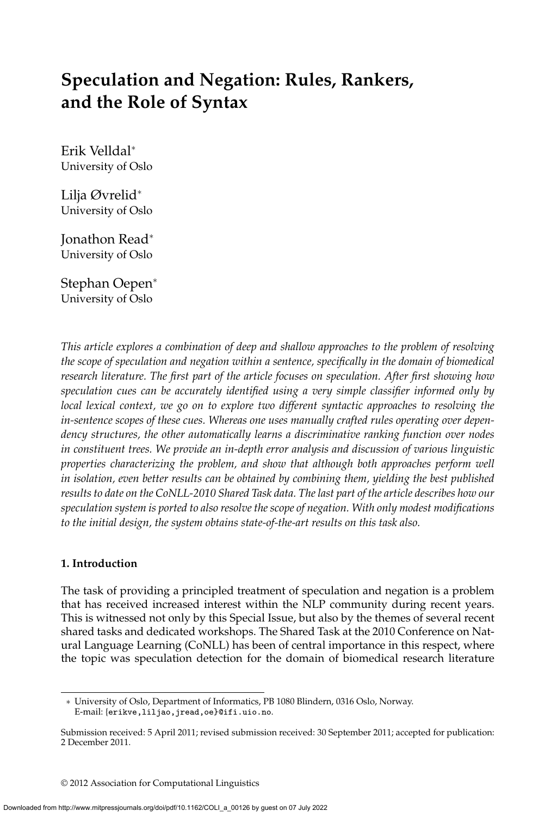# **Speculation and Negation: Rules, Rankers, and the Role of Syntax**

Erik Velldal<sup>∗</sup> University of Oslo

Lilja Øvrelid<sup>∗</sup> University of Oslo

Jonathon Read<sup>∗</sup> University of Oslo

Stephan Oepen<sup>∗</sup> University of Oslo

*This article explores a combination of deep and shallow approaches to the problem of resolving the scope of speculation and negation within a sentence, specifically in the domain of biomedical research literature. The first part of the article focuses on speculation. After first showing how speculation cues can be accurately identified using a very simple classifier informed only by local lexical context, we go on to explore two different syntactic approaches to resolving the in-sentence scopes of these cues. Whereas one uses manually crafted rules operating over dependency structures, the other automatically learns a discriminative ranking function over nodes in constituent trees. We provide an in-depth error analysis and discussion of various linguistic properties characterizing the problem, and show that although both approaches perform well in isolation, even better results can be obtained by combining them, yielding the best published results to date on the CoNLL-2010 Shared Task data. The last part of the article describes how our speculation system is ported to also resolve the scope of negation. With only modest modifications to the initial design, the system obtains state-of-the-art results on this task also.*

# **1. Introduction**

The task of providing a principled treatment of speculation and negation is a problem that has received increased interest within the NLP community during recent years. This is witnessed not only by this Special Issue, but also by the themes of several recent shared tasks and dedicated workshops. The Shared Task at the 2010 Conference on Natural Language Learning (CoNLL) has been of central importance in this respect, where the topic was speculation detection for the domain of biomedical research literature

<sup>∗</sup> University of Oslo, Department of Informatics, PB 1080 Blindern, 0316 Oslo, Norway. E-mail: {erikve,liljao,jread,oe}@ifi.uio.no.

Submission received: 5 April 2011; revised submission received: 30 September 2011; accepted for publication: 2 December 2011.

<sup>© 2012</sup> Association for Computational Linguistics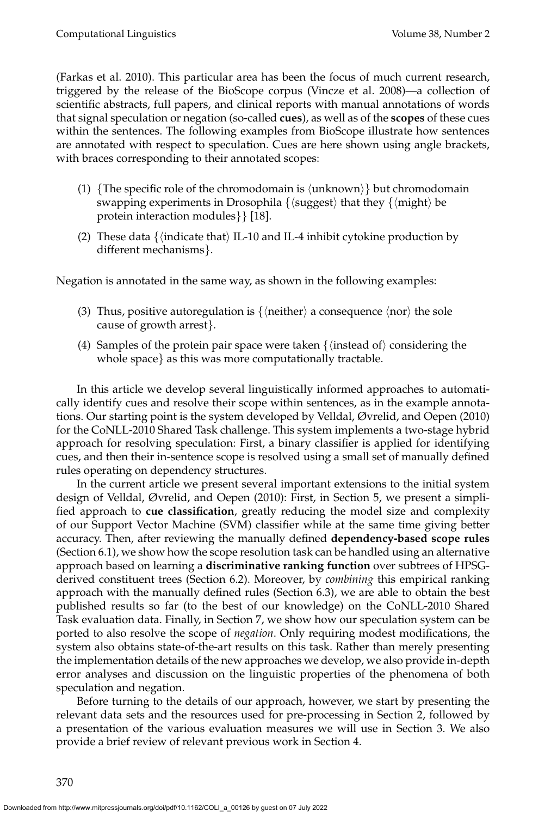(Farkas et al. 2010). This particular area has been the focus of much current research, triggered by the release of the BioScope corpus (Vincze et al. 2008)—a collection of scientific abstracts, full papers, and clinical reports with manual annotations of words that signal speculation or negation (so-called **cues**), as well as of the **scopes** of these cues within the sentences. The following examples from BioScope illustrate how sentences are annotated with respect to speculation. Cues are here shown using angle brackets, with braces corresponding to their annotated scopes:

- (1)  $\{The specific role of the chromodomain is \langle unknown\rangle\} but chromodomain$ swapping experiments in Drosophila  $\{\langle{\text{suggest}}\rangle\}$  that they  $\{\langle{\text{might}}\rangle\}$  be protein interaction modules}} [18].
- (2) These data  $\{\langle \text{indicate that} \rangle \right]$  IL-10 and IL-4 inhibit cytokine production by different mechanisms}.

Negation is annotated in the same way, as shown in the following examples:

- (3) Thus, positive autoregulation is  $\{\langle neither \rangle\}$  a consequence  $\langle nor \rangle$  the sole cause of growth arrest}.
- (4) Samples of the protein pair space were taken  $\{\langle\hat{i}\rangle\}$  considering the whole space} as this was more computationally tractable.

In this article we develop several linguistically informed approaches to automatically identify cues and resolve their scope within sentences, as in the example annotations. Our starting point is the system developed by Velldal, Øvrelid, and Oepen (2010) for the CoNLL-2010 Shared Task challenge. This system implements a two-stage hybrid approach for resolving speculation: First, a binary classifier is applied for identifying cues, and then their in-sentence scope is resolved using a small set of manually defined rules operating on dependency structures.

In the current article we present several important extensions to the initial system design of Velldal, Øvrelid, and Oepen (2010): First, in Section 5, we present a simplified approach to **cue classification**, greatly reducing the model size and complexity of our Support Vector Machine (SVM) classifier while at the same time giving better accuracy. Then, after reviewing the manually defined **dependency-based scope rules** (Section 6.1), we show how the scope resolution task can be handled using an alternative approach based on learning a **discriminative ranking function** over subtrees of HPSGderived constituent trees (Section 6.2). Moreover, by *combining* this empirical ranking approach with the manually defined rules (Section 6.3), we are able to obtain the best published results so far (to the best of our knowledge) on the CoNLL-2010 Shared Task evaluation data. Finally, in Section 7, we show how our speculation system can be ported to also resolve the scope of *negation*. Only requiring modest modifications, the system also obtains state-of-the-art results on this task. Rather than merely presenting the implementation details of the new approaches we develop, we also provide in-depth error analyses and discussion on the linguistic properties of the phenomena of both speculation and negation.

Before turning to the details of our approach, however, we start by presenting the relevant data sets and the resources used for pre-processing in Section 2, followed by a presentation of the various evaluation measures we will use in Section 3. We also provide a brief review of relevant previous work in Section 4.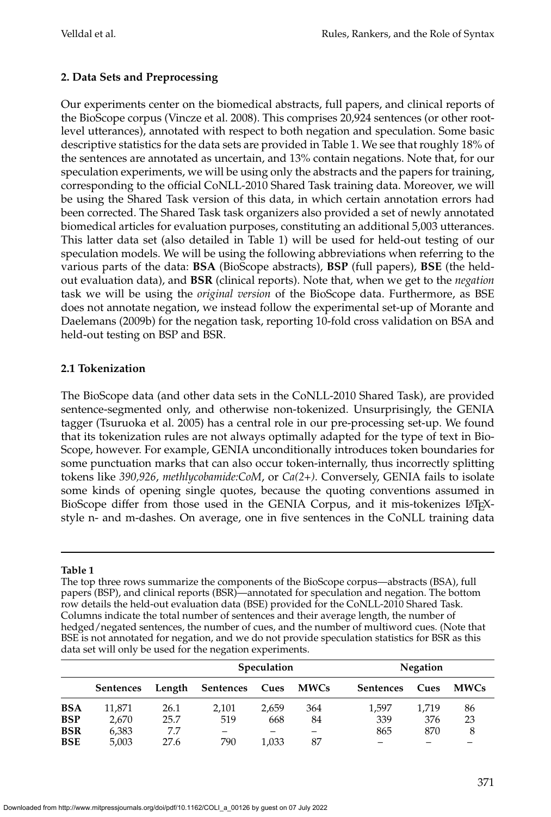# **2. Data Sets and Preprocessing**

Our experiments center on the biomedical abstracts, full papers, and clinical reports of the BioScope corpus (Vincze et al. 2008). This comprises 20,924 sentences (or other rootlevel utterances), annotated with respect to both negation and speculation. Some basic descriptive statistics for the data sets are provided in Table 1. We see that roughly 18% of the sentences are annotated as uncertain, and 13% contain negations. Note that, for our speculation experiments, we will be using only the abstracts and the papers for training, corresponding to the official CoNLL-2010 Shared Task training data. Moreover, we will be using the Shared Task version of this data, in which certain annotation errors had been corrected. The Shared Task task organizers also provided a set of newly annotated biomedical articles for evaluation purposes, constituting an additional 5,003 utterances. This latter data set (also detailed in Table 1) will be used for held-out testing of our speculation models. We will be using the following abbreviations when referring to the various parts of the data: **BSA** (BioScope abstracts), **BSP** (full papers), **BSE** (the heldout evaluation data), and **BSR** (clinical reports). Note that, when we get to the *negation* task we will be using the *original version* of the BioScope data. Furthermore, as BSE does not annotate negation, we instead follow the experimental set-up of Morante and Daelemans (2009b) for the negation task, reporting 10-fold cross validation on BSA and held-out testing on BSP and BSR.

# **2.1 Tokenization**

The BioScope data (and other data sets in the CoNLL-2010 Shared Task), are provided sentence-segmented only, and otherwise non-tokenized. Unsurprisingly, the GENIA tagger (Tsuruoka et al. 2005) has a central role in our pre-processing set-up. We found that its tokenization rules are not always optimally adapted for the type of text in Bio-Scope, however. For example, GENIA unconditionally introduces token boundaries for some punctuation marks that can also occur token-internally, thus incorrectly splitting tokens like *390,926*, *methlycobamide:CoM*, or *Ca(2+)*. Conversely, GENIA fails to isolate some kinds of opening single quotes, because the quoting conventions assumed in BioScope differ from those used in the GENIA Corpus, and it mis-tokenizes LATEXstyle n- and m-dashes. On average, one in five sentences in the CoNLL training data

### **Table 1**

The top three rows summarize the components of the BioScope corpus—abstracts (BSA), full papers (BSP), and clinical reports (BSR)—annotated for speculation and negation. The bottom row details the held-out evaluation data (BSE) provided for the CoNLL-2010 Shared Task. Columns indicate the total number of sentences and their average length, the number of hedged/negated sentences, the number of cues, and the number of multiword cues. (Note that BSE is not annotated for negation, and we do not provide speculation statistics for BSR as this data set will only be used for the negation experiments.

|            |           |      |                  | <b>Speculation</b> |                  | <b>Negation</b>  |       |             |  |  |
|------------|-----------|------|------------------|--------------------|------------------|------------------|-------|-------------|--|--|
|            | Sentences |      | Length Sentences |                    | <b>Cues MWCs</b> | <b>Sentences</b> | Cues  | <b>MWCs</b> |  |  |
| <b>BSA</b> | 11,871    | 26.1 | 2.101            | 2.659              | 364              | 1.597            | 1.719 | 86          |  |  |
| <b>BSP</b> | 2,670     | 25.7 | 519              | 668                | 84               | 339              | 376   | 23          |  |  |
| <b>BSR</b> | 6,383     | 7.7  | -                |                    |                  | 865              | 870   | 8           |  |  |
| <b>BSE</b> | 5,003     | 27.6 | 790              | 1,033              | 87               |                  |       |             |  |  |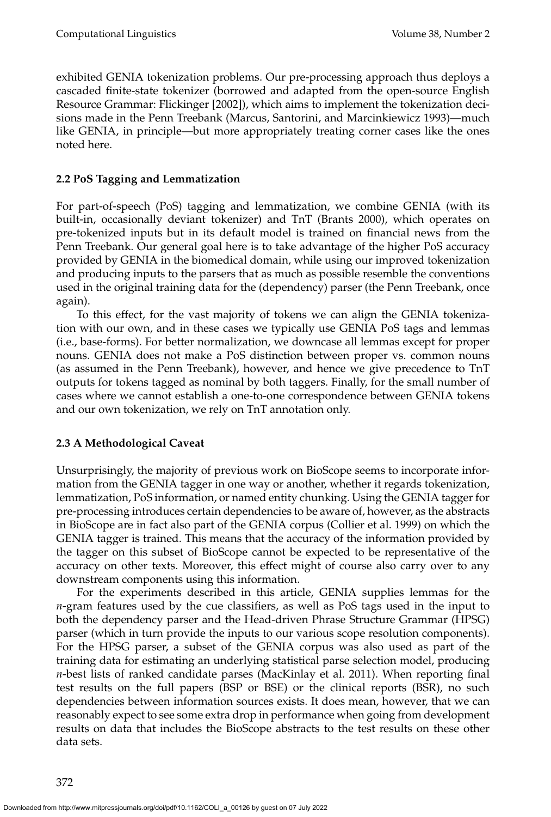exhibited GENIA tokenization problems. Our pre-processing approach thus deploys a cascaded finite-state tokenizer (borrowed and adapted from the open-source English Resource Grammar: Flickinger [2002]), which aims to implement the tokenization decisions made in the Penn Treebank (Marcus, Santorini, and Marcinkiewicz 1993)—much like GENIA, in principle—but more appropriately treating corner cases like the ones noted here.

### **2.2 PoS Tagging and Lemmatization**

For part-of-speech (PoS) tagging and lemmatization, we combine GENIA (with its built-in, occasionally deviant tokenizer) and TnT (Brants 2000), which operates on pre-tokenized inputs but in its default model is trained on financial news from the Penn Treebank. Our general goal here is to take advantage of the higher PoS accuracy provided by GENIA in the biomedical domain, while using our improved tokenization and producing inputs to the parsers that as much as possible resemble the conventions used in the original training data for the (dependency) parser (the Penn Treebank, once again).

To this effect, for the vast majority of tokens we can align the GENIA tokenization with our own, and in these cases we typically use GENIA PoS tags and lemmas (i.e., base-forms). For better normalization, we downcase all lemmas except for proper nouns. GENIA does not make a PoS distinction between proper vs. common nouns (as assumed in the Penn Treebank), however, and hence we give precedence to TnT outputs for tokens tagged as nominal by both taggers. Finally, for the small number of cases where we cannot establish a one-to-one correspondence between GENIA tokens and our own tokenization, we rely on TnT annotation only.

### **2.3 A Methodological Caveat**

Unsurprisingly, the majority of previous work on BioScope seems to incorporate information from the GENIA tagger in one way or another, whether it regards tokenization, lemmatization, PoS information, or named entity chunking. Using the GENIA tagger for pre-processing introduces certain dependencies to be aware of, however, as the abstracts in BioScope are in fact also part of the GENIA corpus (Collier et al. 1999) on which the GENIA tagger is trained. This means that the accuracy of the information provided by the tagger on this subset of BioScope cannot be expected to be representative of the accuracy on other texts. Moreover, this effect might of course also carry over to any downstream components using this information.

For the experiments described in this article, GENIA supplies lemmas for the *n*-gram features used by the cue classifiers, as well as PoS tags used in the input to both the dependency parser and the Head-driven Phrase Structure Grammar (HPSG) parser (which in turn provide the inputs to our various scope resolution components). For the HPSG parser, a subset of the GENIA corpus was also used as part of the training data for estimating an underlying statistical parse selection model, producing *n*-best lists of ranked candidate parses (MacKinlay et al. 2011). When reporting final test results on the full papers (BSP or BSE) or the clinical reports (BSR), no such dependencies between information sources exists. It does mean, however, that we can reasonably expect to see some extra drop in performance when going from development results on data that includes the BioScope abstracts to the test results on these other data sets.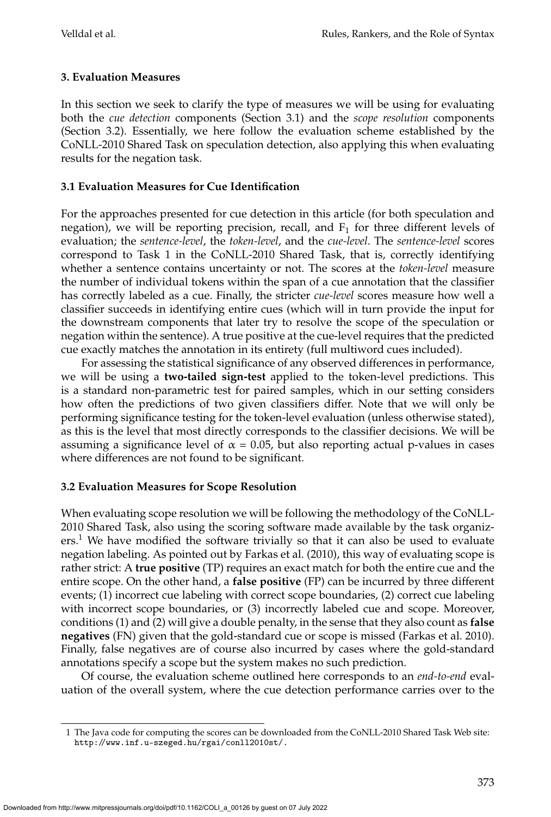# **3. Evaluation Measures**

In this section we seek to clarify the type of measures we will be using for evaluating both the *cue detection* components (Section 3.1) and the *scope resolution* components (Section 3.2). Essentially, we here follow the evaluation scheme established by the CoNLL-2010 Shared Task on speculation detection, also applying this when evaluating results for the negation task.

# **3.1 Evaluation Measures for Cue Identification**

For the approaches presented for cue detection in this article (for both speculation and negation), we will be reporting precision, recall, and  $F_1$  for three different levels of evaluation; the *sentence-level*, the *token-level*, and the *cue-level*. The *sentence-level* scores correspond to Task 1 in the CoNLL-2010 Shared Task, that is, correctly identifying whether a sentence contains uncertainty or not. The scores at the *token-level* measure the number of individual tokens within the span of a cue annotation that the classifier has correctly labeled as a cue. Finally, the stricter *cue-level* scores measure how well a classifier succeeds in identifying entire cues (which will in turn provide the input for the downstream components that later try to resolve the scope of the speculation or negation within the sentence). A true positive at the cue-level requires that the predicted cue exactly matches the annotation in its entirety (full multiword cues included).

For assessing the statistical significance of any observed differences in performance, we will be using a **two-tailed sign-test** applied to the token-level predictions. This is a standard non-parametric test for paired samples, which in our setting considers how often the predictions of two given classifiers differ. Note that we will only be performing significance testing for the token-level evaluation (unless otherwise stated), as this is the level that most directly corresponds to the classifier decisions. We will be assuming a significance level of  $\alpha = 0.05$ , but also reporting actual p-values in cases where differences are not found to be significant.

# **3.2 Evaluation Measures for Scope Resolution**

When evaluating scope resolution we will be following the methodology of the CoNLL-2010 Shared Task, also using the scoring software made available by the task organizers.<sup>1</sup> We have modified the software trivially so that it can also be used to evaluate negation labeling. As pointed out by Farkas et al. (2010), this way of evaluating scope is rather strict: A **true positive** (TP) requires an exact match for both the entire cue and the entire scope. On the other hand, a **false positive** (FP) can be incurred by three different events; (1) incorrect cue labeling with correct scope boundaries, (2) correct cue labeling with incorrect scope boundaries, or (3) incorrectly labeled cue and scope. Moreover, conditions (1) and (2) will give a double penalty, in the sense that they also count as **false negatives** (FN) given that the gold-standard cue or scope is missed (Farkas et al. 2010). Finally, false negatives are of course also incurred by cases where the gold-standard annotations specify a scope but the system makes no such prediction.

Of course, the evaluation scheme outlined here corresponds to an *end-to-end* evaluation of the overall system, where the cue detection performance carries over to the

<sup>1</sup> The Java code for computing the scores can be downloaded from the CoNLL-2010 Shared Task Web site: http://www.inf.u-szeged.hu/rgai/conll2010st/.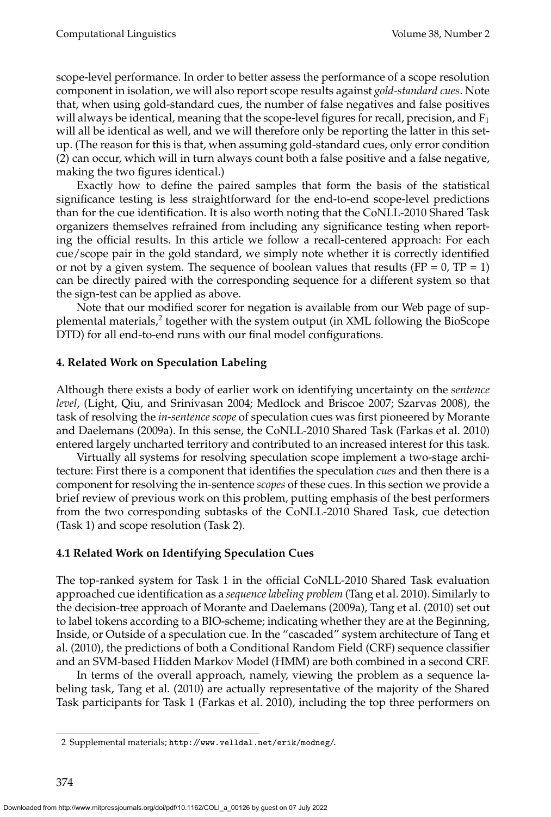scope-level performance. In order to better assess the performance of a scope resolution component in isolation, we will also report scope results against *gold-standard cues*. Note that, when using gold-standard cues, the number of false negatives and false positives will always be identical, meaning that the scope-level figures for recall, precision, and  $F_1$ will all be identical as well, and we will therefore only be reporting the latter in this setup. (The reason for this is that, when assuming gold-standard cues, only error condition (2) can occur, which will in turn always count both a false positive and a false negative, making the two figures identical.)

Exactly how to define the paired samples that form the basis of the statistical significance testing is less straightforward for the end-to-end scope-level predictions than for the cue identification. It is also worth noting that the CoNLL-2010 Shared Task organizers themselves refrained from including any significance testing when reporting the official results. In this article we follow a recall-centered approach: For each cue/scope pair in the gold standard, we simply note whether it is correctly identified or not by a given system. The sequence of boolean values that results ( $FP = 0$ ,  $TP = 1$ ) can be directly paired with the corresponding sequence for a different system so that the sign-test can be applied as above.

Note that our modified scorer for negation is available from our Web page of supplemental materials, $\lambda^2$  together with the system output (in XML following the BioScope DTD) for all end-to-end runs with our final model configurations.

### **4. Related Work on Speculation Labeling**

Although there exists a body of earlier work on identifying uncertainty on the *sentence level*, (Light, Qiu, and Srinivasan 2004; Medlock and Briscoe 2007; Szarvas 2008), the task of resolving the *in-sentence scope* of speculation cues was first pioneered by Morante and Daelemans (2009a). In this sense, the CoNLL-2010 Shared Task (Farkas et al. 2010) entered largely uncharted territory and contributed to an increased interest for this task.

Virtually all systems for resolving speculation scope implement a two-stage architecture: First there is a component that identifies the speculation *cues* and then there is a component for resolving the in-sentence *scopes* of these cues. In this section we provide a brief review of previous work on this problem, putting emphasis of the best performers from the two corresponding subtasks of the CoNLL-2010 Shared Task, cue detection (Task 1) and scope resolution (Task 2).

# **4.1 Related Work on Identifying Speculation Cues**

The top-ranked system for Task 1 in the official CoNLL-2010 Shared Task evaluation approached cue identification as a *sequence labeling problem* (Tang et al. 2010). Similarly to the decision-tree approach of Morante and Daelemans (2009a), Tang et al. (2010) set out to label tokens according to a BIO-scheme; indicating whether they are at the Beginning, Inside, or Outside of a speculation cue. In the "cascaded" system architecture of Tang et al. (2010), the predictions of both a Conditional Random Field (CRF) sequence classifier and an SVM-based Hidden Markov Model (HMM) are both combined in a second CRF.

In terms of the overall approach, namely, viewing the problem as a sequence labeling task, Tang et al. (2010) are actually representative of the majority of the Shared Task participants for Task 1 (Farkas et al. 2010), including the top three performers on

<sup>2</sup> Supplemental materials; http://www.velldal.net/erik/modneg/.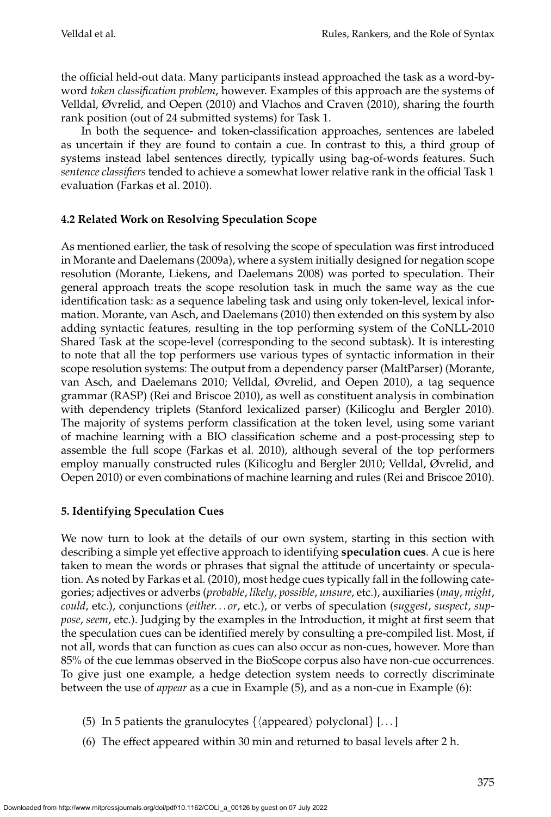the official held-out data. Many participants instead approached the task as a word-byword *token classification problem*, however. Examples of this approach are the systems of Velldal, Øvrelid, and Oepen (2010) and Vlachos and Craven (2010), sharing the fourth rank position (out of 24 submitted systems) for Task 1.

In both the sequence- and token-classification approaches, sentences are labeled as uncertain if they are found to contain a cue. In contrast to this, a third group of systems instead label sentences directly, typically using bag-of-words features. Such *sentence classifiers* tended to achieve a somewhat lower relative rank in the official Task 1 evaluation (Farkas et al. 2010).

# **4.2 Related Work on Resolving Speculation Scope**

As mentioned earlier, the task of resolving the scope of speculation was first introduced in Morante and Daelemans (2009a), where a system initially designed for negation scope resolution (Morante, Liekens, and Daelemans 2008) was ported to speculation. Their general approach treats the scope resolution task in much the same way as the cue identification task: as a sequence labeling task and using only token-level, lexical information. Morante, van Asch, and Daelemans (2010) then extended on this system by also adding syntactic features, resulting in the top performing system of the CoNLL-2010 Shared Task at the scope-level (corresponding to the second subtask). It is interesting to note that all the top performers use various types of syntactic information in their scope resolution systems: The output from a dependency parser (MaltParser) (Morante, van Asch, and Daelemans 2010; Velldal, Øvrelid, and Oepen 2010), a tag sequence grammar (RASP) (Rei and Briscoe 2010), as well as constituent analysis in combination with dependency triplets (Stanford lexicalized parser) (Kilicoglu and Bergler 2010). The majority of systems perform classification at the token level, using some variant of machine learning with a BIO classification scheme and a post-processing step to assemble the full scope (Farkas et al. 2010), although several of the top performers employ manually constructed rules (Kilicoglu and Bergler 2010; Velldal, Øvrelid, and Oepen 2010) or even combinations of machine learning and rules (Rei and Briscoe 2010).

# **5. Identifying Speculation Cues**

We now turn to look at the details of our own system, starting in this section with describing a simple yet effective approach to identifying **speculation cues**. A cue is here taken to mean the words or phrases that signal the attitude of uncertainty or speculation. As noted by Farkas et al. (2010), most hedge cues typically fall in the following categories; adjectives or adverbs (*probable*, *likely*, *possible*, *unsure*, etc.), auxiliaries (*may*, *might*, *could*, etc.), conjunctions (*either. . . or*, etc.), or verbs of speculation (*suggest*, *suspect*, *suppose*, *seem*, etc.). Judging by the examples in the Introduction, it might at first seem that the speculation cues can be identified merely by consulting a pre-compiled list. Most, if not all, words that can function as cues can also occur as non-cues, however. More than 85% of the cue lemmas observed in the BioScope corpus also have non-cue occurrences. To give just one example, a hedge detection system needs to correctly discriminate between the use of *appear* as a cue in Example (5), and as a non-cue in Example (6):

- (5) In 5 patients the granulocytes  $\{\langle$  appeared $\rangle$  polyclonal $\}$  [...]
- (6) The effect appeared within 30 min and returned to basal levels after 2 h.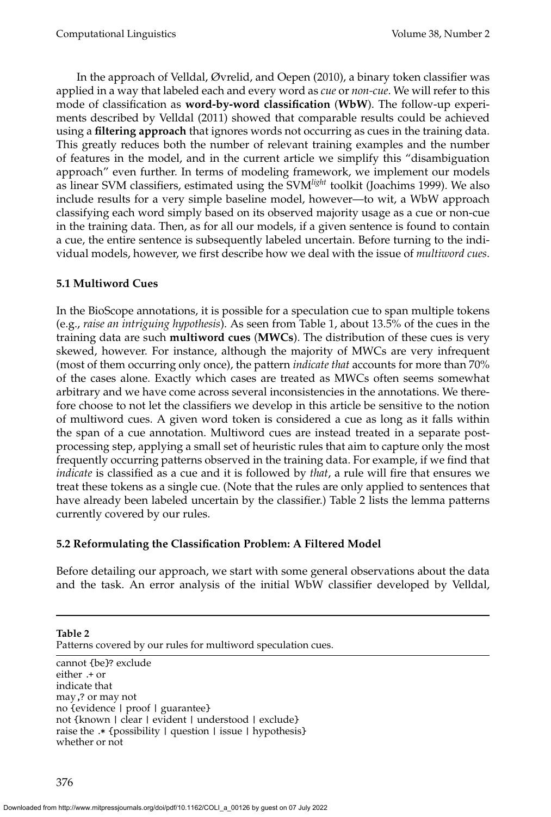In the approach of Velldal, Øvrelid, and Oepen (2010), a binary token classifier was applied in a way that labeled each and every word as *cue* or *non-cue*. We will refer to this mode of classification as **word-by-word classification** (**WbW**). The follow-up experiments described by Velldal (2011) showed that comparable results could be achieved using a **filtering approach** that ignores words not occurring as cues in the training data. This greatly reduces both the number of relevant training examples and the number of features in the model, and in the current article we simplify this "disambiguation approach" even further. In terms of modeling framework, we implement our models as linear SVM classifiers, estimated using the SVM*light* toolkit (Joachims 1999). We also include results for a very simple baseline model, however—to wit, a WbW approach classifying each word simply based on its observed majority usage as a cue or non-cue in the training data. Then, as for all our models, if a given sentence is found to contain a cue, the entire sentence is subsequently labeled uncertain. Before turning to the individual models, however, we first describe how we deal with the issue of *multiword cues*.

# **5.1 Multiword Cues**

In the BioScope annotations, it is possible for a speculation cue to span multiple tokens (e.g., *raise an intriguing hypothesis*). As seen from Table 1, about 13.5% of the cues in the training data are such **multiword cues** (**MWCs**). The distribution of these cues is very skewed, however. For instance, although the majority of MWCs are very infrequent (most of them occurring only once), the pattern *indicate that* accounts for more than 70% of the cases alone. Exactly which cases are treated as MWCs often seems somewhat arbitrary and we have come across several inconsistencies in the annotations. We therefore choose to not let the classifiers we develop in this article be sensitive to the notion of multiword cues. A given word token is considered a cue as long as it falls within the span of a cue annotation. Multiword cues are instead treated in a separate postprocessing step, applying a small set of heuristic rules that aim to capture only the most frequently occurring patterns observed in the training data. For example, if we find that *indicate* is classified as a cue and it is followed by *that*, a rule will fire that ensures we treat these tokens as a single cue. (Note that the rules are only applied to sentences that have already been labeled uncertain by the classifier.) Table 2 lists the lemma patterns currently covered by our rules.

# **5.2 Reformulating the Classification Problem: A Filtered Model**

Before detailing our approach, we start with some general observations about the data and the task. An error analysis of the initial WbW classifier developed by Velldal,

| Table 2                                                       |  |  |
|---------------------------------------------------------------|--|--|
| Patterns covered by our rules for multiword speculation cues. |  |  |

cannot {be}? exclude either .+ or indicate that may,? or may not no {evidence | proof | guarantee} not {known | clear | evident | understood | exclude} raise the .\* {possibility | question | issue | hypothesis} whether or not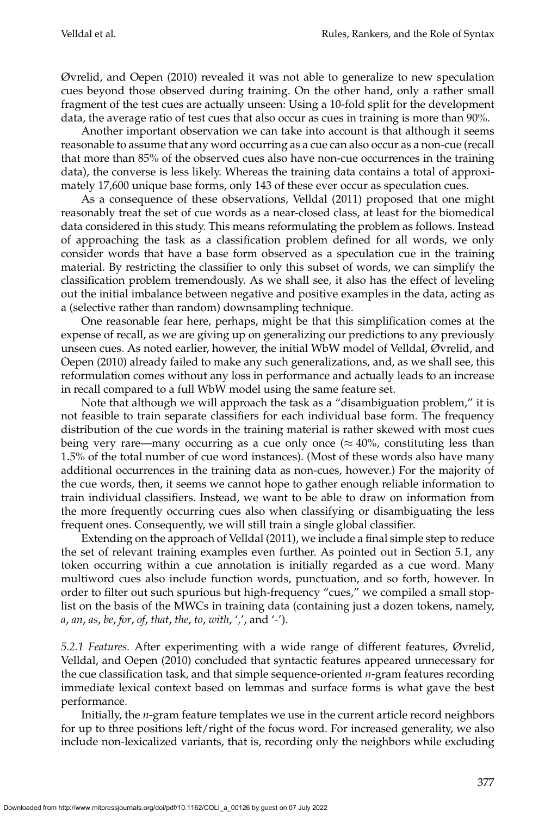Øvrelid, and Oepen (2010) revealed it was not able to generalize to new speculation cues beyond those observed during training. On the other hand, only a rather small fragment of the test cues are actually unseen: Using a 10-fold split for the development data, the average ratio of test cues that also occur as cues in training is more than 90%.

Another important observation we can take into account is that although it seems reasonable to assume that any word occurring as a cue can also occur as a non-cue (recall that more than 85% of the observed cues also have non-cue occurrences in the training data), the converse is less likely. Whereas the training data contains a total of approximately 17,600 unique base forms, only 143 of these ever occur as speculation cues.

As a consequence of these observations, Velldal (2011) proposed that one might reasonably treat the set of cue words as a near-closed class, at least for the biomedical data considered in this study. This means reformulating the problem as follows. Instead of approaching the task as a classification problem defined for all words, we only consider words that have a base form observed as a speculation cue in the training material. By restricting the classifier to only this subset of words, we can simplify the classification problem tremendously. As we shall see, it also has the effect of leveling out the initial imbalance between negative and positive examples in the data, acting as a (selective rather than random) downsampling technique.

One reasonable fear here, perhaps, might be that this simplification comes at the expense of recall, as we are giving up on generalizing our predictions to any previously unseen cues. As noted earlier, however, the initial WbW model of Velldal, Øvrelid, and Oepen (2010) already failed to make any such generalizations, and, as we shall see, this reformulation comes without any loss in performance and actually leads to an increase in recall compared to a full WbW model using the same feature set.

Note that although we will approach the task as a "disambiguation problem," it is not feasible to train separate classifiers for each individual base form. The frequency distribution of the cue words in the training material is rather skewed with most cues being very rare—many occurring as a cue only once ( $\approx 40\%$ , constituting less than 1.5% of the total number of cue word instances). (Most of these words also have many additional occurrences in the training data as non-cues, however.) For the majority of the cue words, then, it seems we cannot hope to gather enough reliable information to train individual classifiers. Instead, we want to be able to draw on information from the more frequently occurring cues also when classifying or disambiguating the less frequent ones. Consequently, we will still train a single global classifier.

Extending on the approach of Velldal (2011), we include a final simple step to reduce the set of relevant training examples even further. As pointed out in Section 5.1, any token occurring within a cue annotation is initially regarded as a cue word. Many multiword cues also include function words, punctuation, and so forth, however. In order to filter out such spurious but high-frequency "cues," we compiled a small stoplist on the basis of the MWCs in training data (containing just a dozen tokens, namely, *a*, *an*, *as*, *be*, *for*, *of*, *that*, *the*, *to*, *with*, '*,*', and '*-*').

*5.2.1 Features.* After experimenting with a wide range of different features, Øvrelid, Velldal, and Oepen (2010) concluded that syntactic features appeared unnecessary for the cue classification task, and that simple sequence-oriented *n*-gram features recording immediate lexical context based on lemmas and surface forms is what gave the best performance.

Initially, the *n*-gram feature templates we use in the current article record neighbors for up to three positions left/right of the focus word. For increased generality, we also include non-lexicalized variants, that is, recording only the neighbors while excluding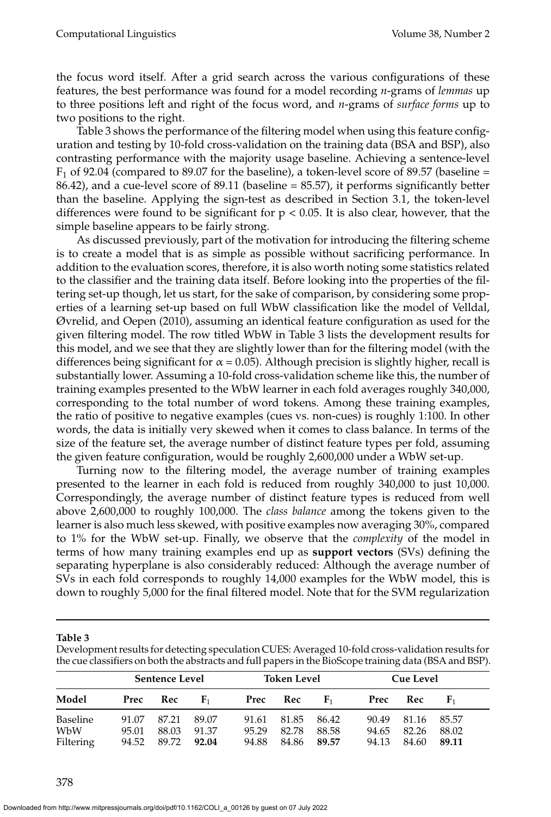the focus word itself. After a grid search across the various configurations of these features, the best performance was found for a model recording *n*-grams of *lemmas* up to three positions left and right of the focus word, and *n*-grams of *surface forms* up to two positions to the right.

Table 3 shows the performance of the filtering model when using this feature configuration and testing by 10-fold cross-validation on the training data (BSA and BSP), also contrasting performance with the majority usage baseline. Achieving a sentence-level  $F_1$  of 92.04 (compared to 89.07 for the baseline), a token-level score of 89.57 (baseline = 86.42), and a cue-level score of 89.11 (baseline = 85.57), it performs significantly better than the baseline. Applying the sign-test as described in Section 3.1, the token-level differences were found to be significant for  $p < 0.05$ . It is also clear, however, that the simple baseline appears to be fairly strong.

As discussed previously, part of the motivation for introducing the filtering scheme is to create a model that is as simple as possible without sacrificing performance. In addition to the evaluation scores, therefore, it is also worth noting some statistics related to the classifier and the training data itself. Before looking into the properties of the filtering set-up though, let us start, for the sake of comparison, by considering some properties of a learning set-up based on full WbW classification like the model of Velldal, Øvrelid, and Oepen (2010), assuming an identical feature configuration as used for the given filtering model. The row titled WbW in Table 3 lists the development results for this model, and we see that they are slightly lower than for the filtering model (with the differences being significant for  $\alpha$  = 0.05). Although precision is slightly higher, recall is substantially lower. Assuming a 10-fold cross-validation scheme like this, the number of training examples presented to the WbW learner in each fold averages roughly 340,000, corresponding to the total number of word tokens. Among these training examples, the ratio of positive to negative examples (cues vs. non-cues) is roughly 1:100. In other words, the data is initially very skewed when it comes to class balance. In terms of the size of the feature set, the average number of distinct feature types per fold, assuming the given feature configuration, would be roughly 2,600,000 under a WbW set-up.

Turning now to the filtering model, the average number of training examples presented to the learner in each fold is reduced from roughly 340,000 to just 10,000. Correspondingly, the average number of distinct feature types is reduced from well above 2,600,000 to roughly 100,000. The *class balance* among the tokens given to the learner is also much less skewed, with positive examples now averaging 30%, compared to 1% for the WbW set-up. Finally, we observe that the *complexity* of the model in terms of how many training examples end up as **support vectors** (SVs) defining the separating hyperplane is also considerably reduced: Although the average number of SVs in each fold corresponds to roughly 14,000 examples for the WbW model, this is down to roughly 5,000 for the final filtered model. Note that for the SVM regularization

#### **Table 3**

| Development results for detecting speculation CUES: Averaged 10-fold cross-validation results for      |  |
|--------------------------------------------------------------------------------------------------------|--|
| the cue classifiers on both the abstracts and full papers in the BioScope training data (BSA and BSP). |  |

|                              | Sentence Level          |                               |                |                         | Token Level             |                         |                         | <b>Cue Level</b>        |                         |  |
|------------------------------|-------------------------|-------------------------------|----------------|-------------------------|-------------------------|-------------------------|-------------------------|-------------------------|-------------------------|--|
| Model                        | Prec                    | Rec                           | $F_1$          | Prec                    | Rec                     | $F_{1}$                 | Prec                    | Rec                     | $\mathbf{F}_1$          |  |
| Baseline<br>WbW<br>Filtering | 91.07<br>95.01<br>94.52 | 87.21<br>88.03<br>89.72 92.04 | 89.07<br>91.37 | 91.61<br>95.29<br>94.88 | 81.85<br>82.78<br>84.86 | 86.42<br>88.58<br>89.57 | 90.49<br>94.65<br>94.13 | 81.16<br>82.26<br>84.60 | 85.57<br>88.02<br>89.11 |  |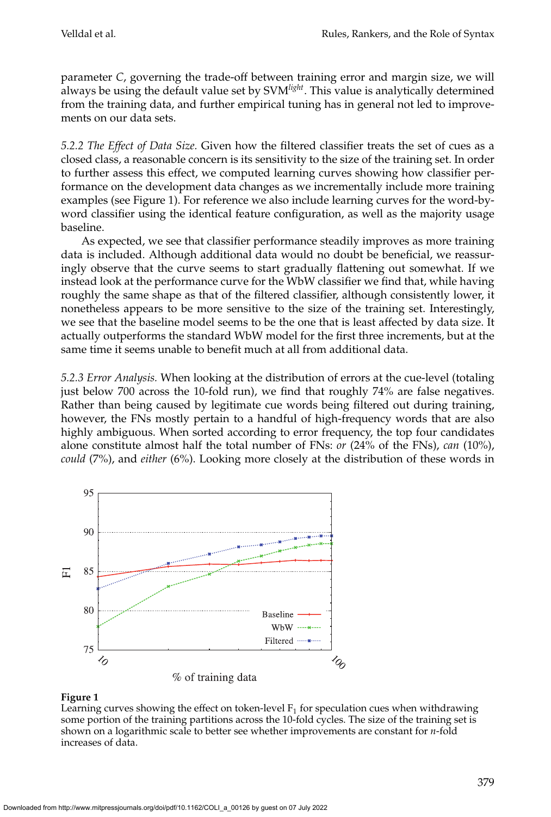parameter *C*, governing the trade-off between training error and margin size, we will always be using the default value set by SVM*light*. This value is analytically determined from the training data, and further empirical tuning has in general not led to improvements on our data sets.

*5.2.2 The Effect of Data Size.* Given how the filtered classifier treats the set of cues as a closed class, a reasonable concern is its sensitivity to the size of the training set. In order to further assess this effect, we computed learning curves showing how classifier performance on the development data changes as we incrementally include more training examples (see Figure 1). For reference we also include learning curves for the word-byword classifier using the identical feature configuration, as well as the majority usage baseline.

As expected, we see that classifier performance steadily improves as more training data is included. Although additional data would no doubt be beneficial, we reassuringly observe that the curve seems to start gradually flattening out somewhat. If we instead look at the performance curve for the WbW classifier we find that, while having roughly the same shape as that of the filtered classifier, although consistently lower, it nonetheless appears to be more sensitive to the size of the training set. Interestingly, we see that the baseline model seems to be the one that is least affected by data size. It actually outperforms the standard WbW model for the first three increments, but at the same time it seems unable to benefit much at all from additional data.

*5.2.3 Error Analysis.* When looking at the distribution of errors at the cue-level (totaling just below 700 across the 10-fold run), we find that roughly 74% are false negatives. Rather than being caused by legitimate cue words being filtered out during training, however, the FNs mostly pertain to a handful of high-frequency words that are also highly ambiguous. When sorted according to error frequency, the top four candidates alone constitute almost half the total number of FNs: *or* (24% of the FNs), *can* (10%), *could* (7%), and *either* (6%). Looking more closely at the distribution of these words in



# **Figure 1**

Learning curves showing the effect on token-level  $F_1$  for speculation cues when withdrawing some portion of the training partitions across the 10-fold cycles. The size of the training set is shown on a logarithmic scale to better see whether improvements are constant for *n*-fold increases of data.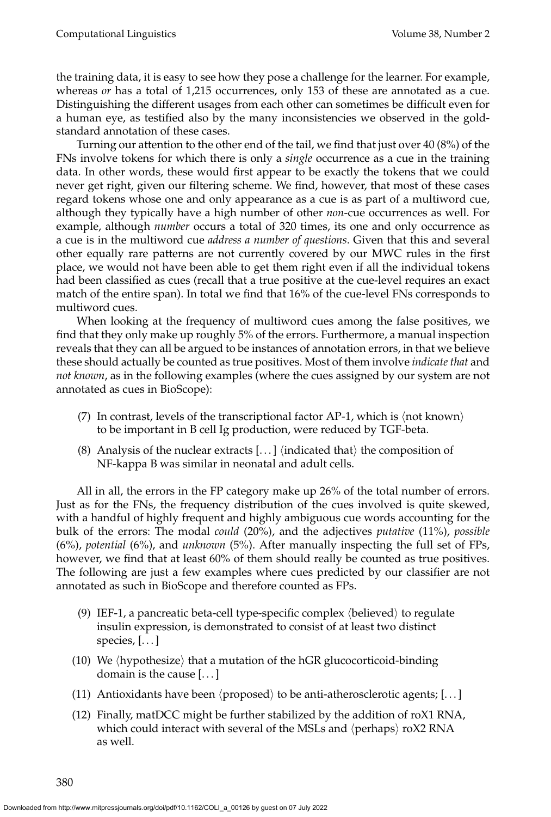the training data, it is easy to see how they pose a challenge for the learner. For example, whereas *or* has a total of 1,215 occurrences, only 153 of these are annotated as a cue. Distinguishing the different usages from each other can sometimes be difficult even for a human eye, as testified also by the many inconsistencies we observed in the goldstandard annotation of these cases.

Turning our attention to the other end of the tail, we find that just over 40 (8%) of the FNs involve tokens for which there is only a *single* occurrence as a cue in the training data. In other words, these would first appear to be exactly the tokens that we could never get right, given our filtering scheme. We find, however, that most of these cases regard tokens whose one and only appearance as a cue is as part of a multiword cue, although they typically have a high number of other *non*-cue occurrences as well. For example, although *number* occurs a total of 320 times, its one and only occurrence as a cue is in the multiword cue *address a number of questions*. Given that this and several other equally rare patterns are not currently covered by our MWC rules in the first place, we would not have been able to get them right even if all the individual tokens had been classified as cues (recall that a true positive at the cue-level requires an exact match of the entire span). In total we find that 16% of the cue-level FNs corresponds to multiword cues.

When looking at the frequency of multiword cues among the false positives, we find that they only make up roughly 5% of the errors. Furthermore, a manual inspection reveals that they can all be argued to be instances of annotation errors, in that we believe these should actually be counted as true positives. Most of them involve *indicate that* and *not known*, as in the following examples (where the cues assigned by our system are not annotated as cues in BioScope):

- (7) In contrast, levels of the transcriptional factor AP-1, which is  $\langle$  not known $\rangle$ to be important in B cell Ig production, were reduced by TGF-beta.
- (8) Analysis of the nuclear extracts  $\left[\ldots\right]$  (indicated that) the composition of NF-kappa B was similar in neonatal and adult cells.

All in all, the errors in the FP category make up 26% of the total number of errors. Just as for the FNs, the frequency distribution of the cues involved is quite skewed, with a handful of highly frequent and highly ambiguous cue words accounting for the bulk of the errors: The modal *could* (20%), and the adjectives *putative* (11%), *possible* (6%), *potential* (6%), and *unknown* (5%). After manually inspecting the full set of FPs, however, we find that at least 60% of them should really be counted as true positives. The following are just a few examples where cues predicted by our classifier are not annotated as such in BioScope and therefore counted as FPs.

- (9) IEF-1, a pancreatic beta-cell type-specific complex  $\langle$  believed $\rangle$  to regulate insulin expression, is demonstrated to consist of at least two distinct species,  $[...]$
- (10) We  $\langle$ hypothesize $\rangle$  that a mutation of the hGR glucocorticoid-binding domain is the cause [. . . ]
- (11) Antioxidants have been  $\langle$  proposed $\rangle$  to be anti-atherosclerotic agents; [...]
- (12) Finally, matDCC might be further stabilized by the addition of roX1 RNA, which could interact with several of the MSLs and  $\langle$  perhaps $\rangle$  roX2 RNA as well.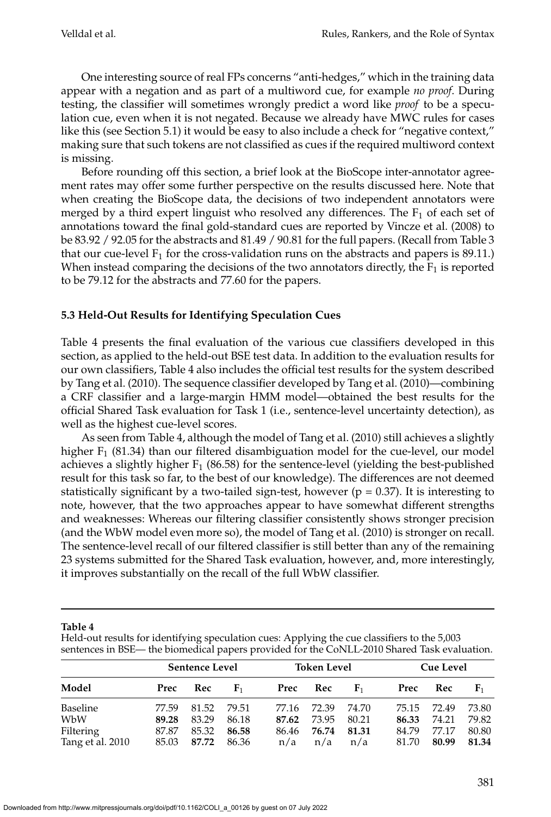One interesting source of real FPs concerns "anti-hedges," which in the training data appear with a negation and as part of a multiword cue, for example *no proof*. During testing, the classifier will sometimes wrongly predict a word like *proof* to be a speculation cue, even when it is not negated. Because we already have MWC rules for cases like this (see Section 5.1) it would be easy to also include a check for "negative context," making sure that such tokens are not classified as cues if the required multiword context is missing.

Before rounding off this section, a brief look at the BioScope inter-annotator agreement rates may offer some further perspective on the results discussed here. Note that when creating the BioScope data, the decisions of two independent annotators were merged by a third expert linguist who resolved any differences. The  $F_1$  of each set of annotations toward the final gold-standard cues are reported by Vincze et al. (2008) to be 83.92 / 92.05 for the abstracts and 81.49 / 90.81 for the full papers. (Recall from Table 3 that our cue-level  $F_1$  for the cross-validation runs on the abstracts and papers is 89.11.) When instead comparing the decisions of the two annotators directly, the  $F_1$  is reported to be 79.12 for the abstracts and 77.60 for the papers.

# **5.3 Held-Out Results for Identifying Speculation Cues**

Table 4 presents the final evaluation of the various cue classifiers developed in this section, as applied to the held-out BSE test data. In addition to the evaluation results for our own classifiers, Table 4 also includes the official test results for the system described by Tang et al. (2010). The sequence classifier developed by Tang et al. (2010)—combining a CRF classifier and a large-margin HMM model—obtained the best results for the official Shared Task evaluation for Task 1 (i.e., sentence-level uncertainty detection), as well as the highest cue-level scores.

As seen from Table 4, although the model of Tang et al. (2010) still achieves a slightly higher  $F_1$  (81.34) than our filtered disambiguation model for the cue-level, our model achieves a slightly higher  $F_1$  (86.58) for the sentence-level (yielding the best-published result for this task so far, to the best of our knowledge). The differences are not deemed statistically significant by a two-tailed sign-test, however ( $p = 0.37$ ). It is interesting to note, however, that the two approaches appear to have somewhat different strengths and weaknesses: Whereas our filtering classifier consistently shows stronger precision (and the WbW model even more so), the model of Tang et al. (2010) is stronger on recall. The sentence-level recall of our filtered classifier is still better than any of the remaining 23 systems submitted for the Shared Task evaluation, however, and, more interestingly, it improves substantially on the recall of the full WbW classifier.

### **Table 4**

Held-out results for identifying speculation cues: Applying the cue classifiers to the 5,003 sentences in BSE— the biomedical papers provided for the CoNLL-2010 Shared Task evaluation.

|                                                  | <b>Sentence Level</b>            |                                  |                                  | <b>Token Level</b>             |                                |                                | <b>Cue Level</b>                 |                                  |                                  |
|--------------------------------------------------|----------------------------------|----------------------------------|----------------------------------|--------------------------------|--------------------------------|--------------------------------|----------------------------------|----------------------------------|----------------------------------|
| Model                                            | Prec                             | Rec                              | $F_1$                            | Prec                           | Rec                            | $F_1$                          | Prec                             | Rec                              | F <sub>1</sub>                   |
| Baseline<br>WbW<br>Filtering<br>Tang et al. 2010 | 77.59<br>89.28<br>87.87<br>85.03 | 81.52<br>83.29<br>85.32<br>87.72 | 79.51<br>86.18<br>86.58<br>86.36 | 77.16<br>87.62<br>86.46<br>n/a | 72.39<br>73.95<br>76.74<br>n/a | 74.70<br>80.21<br>81.31<br>n/a | 75.15<br>86.33<br>84.79<br>81.70 | 72.49<br>74.21<br>77.17<br>80.99 | 73.80<br>79.82<br>80.80<br>81.34 |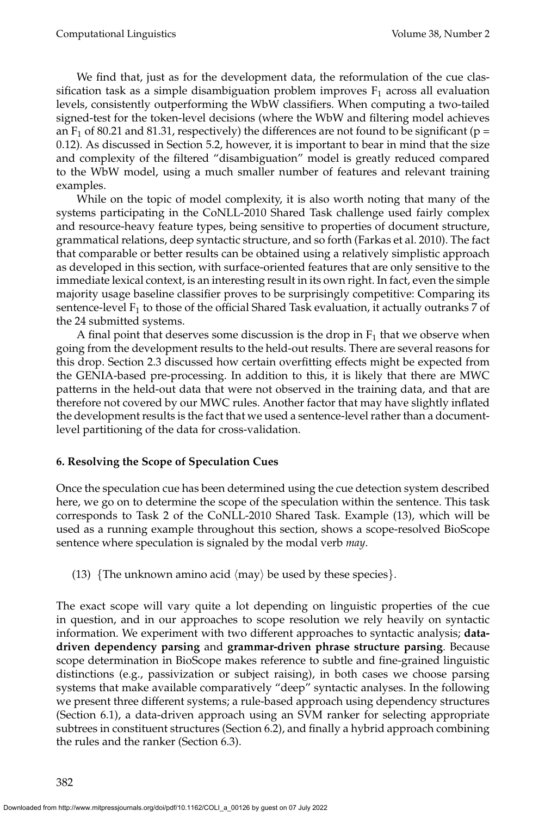We find that, just as for the development data, the reformulation of the cue classification task as a simple disambiguation problem improves  $F_1$  across all evaluation levels, consistently outperforming the WbW classifiers. When computing a two-tailed signed-test for the token-level decisions (where the WbW and filtering model achieves an  $F_1$  of 80.21 and 81.31, respectively) the differences are not found to be significant ( $p =$ 0.12). As discussed in Section 5.2, however, it is important to bear in mind that the size and complexity of the filtered "disambiguation" model is greatly reduced compared to the WbW model, using a much smaller number of features and relevant training examples.

While on the topic of model complexity, it is also worth noting that many of the systems participating in the CoNLL-2010 Shared Task challenge used fairly complex and resource-heavy feature types, being sensitive to properties of document structure, grammatical relations, deep syntactic structure, and so forth (Farkas et al. 2010). The fact that comparable or better results can be obtained using a relatively simplistic approach as developed in this section, with surface-oriented features that are only sensitive to the immediate lexical context, is an interesting result in its own right. In fact, even the simple majority usage baseline classifier proves to be surprisingly competitive: Comparing its sentence-level  $F_1$  to those of the official Shared Task evaluation, it actually outranks 7 of the 24 submitted systems.

A final point that deserves some discussion is the drop in  $F_1$  that we observe when going from the development results to the held-out results. There are several reasons for this drop. Section 2.3 discussed how certain overfitting effects might be expected from the GENIA-based pre-processing. In addition to this, it is likely that there are MWC patterns in the held-out data that were not observed in the training data, and that are therefore not covered by our MWC rules. Another factor that may have slightly inflated the development results is the fact that we used a sentence-level rather than a documentlevel partitioning of the data for cross-validation.

# **6. Resolving the Scope of Speculation Cues**

Once the speculation cue has been determined using the cue detection system described here, we go on to determine the scope of the speculation within the sentence. This task corresponds to Task 2 of the CoNLL-2010 Shared Task. Example (13), which will be used as a running example throughout this section, shows a scope-resolved BioScope sentence where speculation is signaled by the modal verb *may*.

(13) {The unknown amino acid  $\langle$ may $\rangle$  be used by these species}.

The exact scope will vary quite a lot depending on linguistic properties of the cue in question, and in our approaches to scope resolution we rely heavily on syntactic information. We experiment with two different approaches to syntactic analysis; **datadriven dependency parsing** and **grammar-driven phrase structure parsing**. Because scope determination in BioScope makes reference to subtle and fine-grained linguistic distinctions (e.g., passivization or subject raising), in both cases we choose parsing systems that make available comparatively "deep" syntactic analyses. In the following we present three different systems; a rule-based approach using dependency structures (Section 6.1), a data-driven approach using an SVM ranker for selecting appropriate subtrees in constituent structures (Section 6.2), and finally a hybrid approach combining the rules and the ranker (Section 6.3).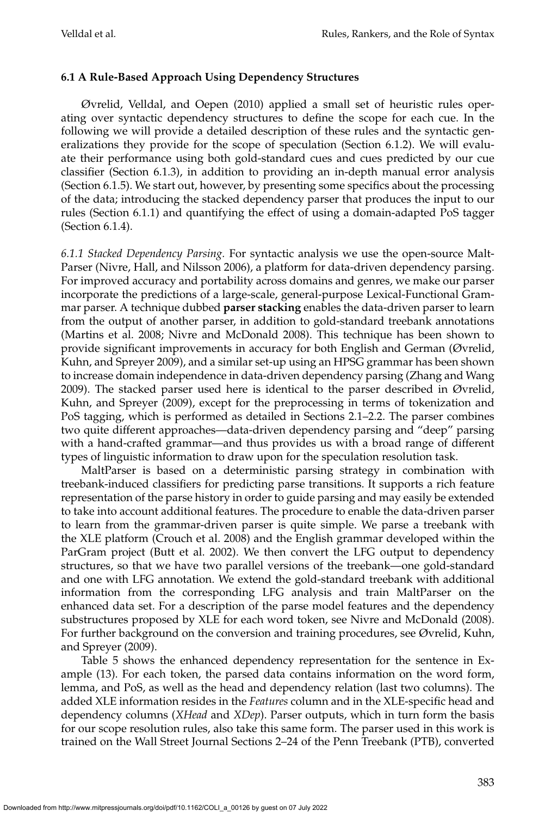# **6.1 A Rule-Based Approach Using Dependency Structures**

Øvrelid, Velldal, and Oepen (2010) applied a small set of heuristic rules operating over syntactic dependency structures to define the scope for each cue. In the following we will provide a detailed description of these rules and the syntactic generalizations they provide for the scope of speculation (Section 6.1.2). We will evaluate their performance using both gold-standard cues and cues predicted by our cue classifier (Section 6.1.3), in addition to providing an in-depth manual error analysis (Section 6.1.5). We start out, however, by presenting some specifics about the processing of the data; introducing the stacked dependency parser that produces the input to our rules (Section 6.1.1) and quantifying the effect of using a domain-adapted PoS tagger (Section 6.1.4).

*6.1.1 Stacked Dependency Parsing.* For syntactic analysis we use the open-source Malt-Parser (Nivre, Hall, and Nilsson 2006), a platform for data-driven dependency parsing. For improved accuracy and portability across domains and genres, we make our parser incorporate the predictions of a large-scale, general-purpose Lexical-Functional Grammar parser. A technique dubbed **parser stacking** enables the data-driven parser to learn from the output of another parser, in addition to gold-standard treebank annotations (Martins et al. 2008; Nivre and McDonald 2008). This technique has been shown to provide significant improvements in accuracy for both English and German (Øvrelid, Kuhn, and Spreyer 2009), and a similar set-up using an HPSG grammar has been shown to increase domain independence in data-driven dependency parsing (Zhang and Wang 2009). The stacked parser used here is identical to the parser described in Øvrelid, Kuhn, and Spreyer (2009), except for the preprocessing in terms of tokenization and PoS tagging, which is performed as detailed in Sections 2.1–2.2. The parser combines two quite different approaches—data-driven dependency parsing and "deep" parsing with a hand-crafted grammar—and thus provides us with a broad range of different types of linguistic information to draw upon for the speculation resolution task.

MaltParser is based on a deterministic parsing strategy in combination with treebank-induced classifiers for predicting parse transitions. It supports a rich feature representation of the parse history in order to guide parsing and may easily be extended to take into account additional features. The procedure to enable the data-driven parser to learn from the grammar-driven parser is quite simple. We parse a treebank with the XLE platform (Crouch et al. 2008) and the English grammar developed within the ParGram project (Butt et al. 2002). We then convert the LFG output to dependency structures, so that we have two parallel versions of the treebank—one gold-standard and one with LFG annotation. We extend the gold-standard treebank with additional information from the corresponding LFG analysis and train MaltParser on the enhanced data set. For a description of the parse model features and the dependency substructures proposed by XLE for each word token, see Nivre and McDonald (2008). For further background on the conversion and training procedures, see Øvrelid, Kuhn, and Spreyer (2009).

Table 5 shows the enhanced dependency representation for the sentence in Example (13). For each token, the parsed data contains information on the word form, lemma, and PoS, as well as the head and dependency relation (last two columns). The added XLE information resides in the *Features* column and in the XLE-specific head and dependency columns (*XHead* and *XDep*). Parser outputs, which in turn form the basis for our scope resolution rules, also take this same form. The parser used in this work is trained on the Wall Street Journal Sections 2–24 of the Penn Treebank (PTB), converted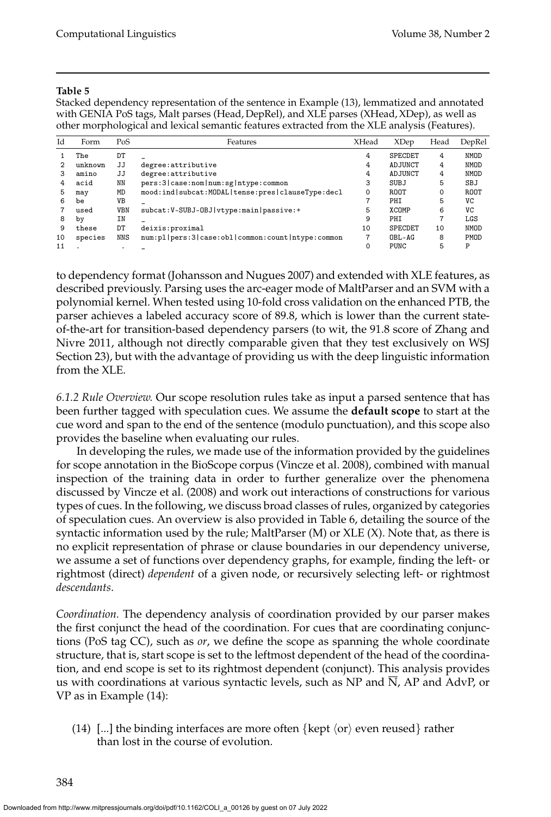#### **Table 5**

Stacked dependency representation of the sentence in Example (13), lemmatized and annotated with GENIA PoS tags, Malt parses (Head, DepRel), and XLE parses (XHead, XDep), as well as other morphological and lexical semantic features extracted from the XLE analysis (Features).

| Id | Form    | PoS        | Features                                                  | XHead    | <b>XDep</b>    | Head     | DepRel      |
|----|---------|------------|-----------------------------------------------------------|----------|----------------|----------|-------------|
|    | The     | DT         |                                                           | 4        | <b>SPECDET</b> | 4        | NMOD        |
|    | unknown | JJ         | degree: attributive                                       | 4        | <b>ADJUNCT</b> | 4        | NMOD        |
|    | amino   | JJ         | degree: attributive                                       | 4        | <b>ADJUNCT</b> | 4        | NMOD        |
|    | acid    | NN         | pers:3 case:nom num:sg ntype:common                       | 3        | SUBJ           | 5        | SBJ         |
| 5  | may     | MD         | mood:ind   subcat: MODAL   tense: pres   clauseType: decl | $\Omega$ | <b>ROOT</b>    | $\Omega$ | <b>ROOT</b> |
| 6  | be      | VB         |                                                           |          | PHI            | 5        | VC          |
|    | used    | <b>VBN</b> | subcat: V-SUBJ-OBJ   vtype: main   passive: +             | 5        | <b>XCOMP</b>   | 6        | VC          |
| 8  | bv      | IN         |                                                           | 9        | PHI            | 7        | LGS         |
| 9  | these   | DT         | deixis: proximal                                          | 10       | <b>SPECDET</b> | 10       | <b>NMOD</b> |
| 10 | species | NNS        | num:pl pers:3 case:obl common:count ntype:common          |          | $OBL-AG$       | 8        | PMOD        |
| 11 |         |            |                                                           | $\Omega$ | <b>PUNC</b>    | 5        | P           |

to dependency format (Johansson and Nugues 2007) and extended with XLE features, as described previously. Parsing uses the arc-eager mode of MaltParser and an SVM with a polynomial kernel. When tested using 10-fold cross validation on the enhanced PTB, the parser achieves a labeled accuracy score of 89.8, which is lower than the current stateof-the-art for transition-based dependency parsers (to wit, the 91.8 score of Zhang and Nivre 2011, although not directly comparable given that they test exclusively on WSJ Section 23), but with the advantage of providing us with the deep linguistic information from the XLE.

*6.1.2 Rule Overview.* Our scope resolution rules take as input a parsed sentence that has been further tagged with speculation cues. We assume the **default scope** to start at the cue word and span to the end of the sentence (modulo punctuation), and this scope also provides the baseline when evaluating our rules.

In developing the rules, we made use of the information provided by the guidelines for scope annotation in the BioScope corpus (Vincze et al. 2008), combined with manual inspection of the training data in order to further generalize over the phenomena discussed by Vincze et al. (2008) and work out interactions of constructions for various types of cues. In the following, we discuss broad classes of rules, organized by categories of speculation cues. An overview is also provided in Table 6, detailing the source of the syntactic information used by the rule; MaltParser  $(M)$  or  $XLE(X)$ . Note that, as there is no explicit representation of phrase or clause boundaries in our dependency universe, we assume a set of functions over dependency graphs, for example, finding the left- or rightmost (direct) *dependent* of a given node, or recursively selecting left- or rightmost *descendants*.

*Coordination.* The dependency analysis of coordination provided by our parser makes the first conjunct the head of the coordination. For cues that are coordinating conjunctions (PoS tag CC), such as *or*, we define the scope as spanning the whole coordinate structure, that is, start scope is set to the leftmost dependent of the head of the coordination, and end scope is set to its rightmost dependent (conjunct). This analysis provides us with coordinations at various syntactic levels, such as NP and  $\overline{N}$ , AP and AdvP, or VP as in Example (14):

(14) [...] the binding interfaces are more often {kept  $\langle \text{or} \rangle$  even reused} rather than lost in the course of evolution.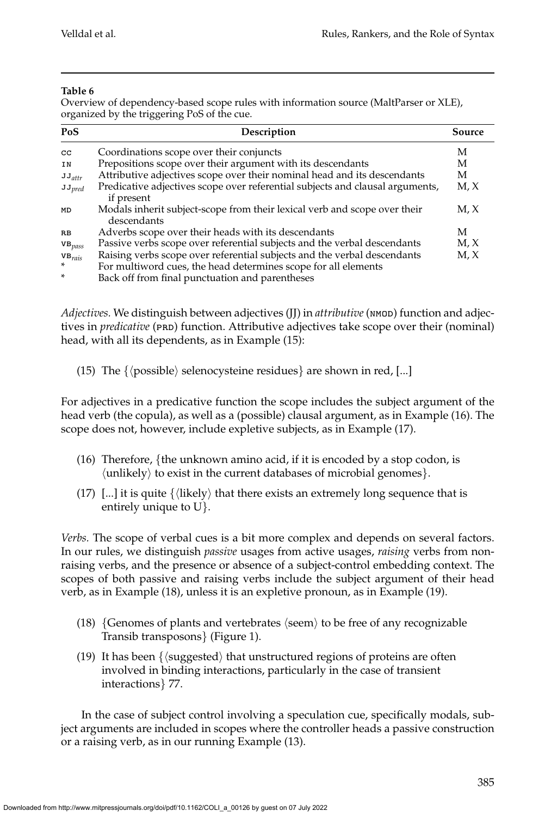#### **Table 6**

Overview of dependency-based scope rules with information source (MaltParser or XLE), organized by the triggering PoS of the cue.

| PoS                | Description                                                                                 | Source |
|--------------------|---------------------------------------------------------------------------------------------|--------|
| $_{\rm cc}$        | Coordinations scope over their conjuncts                                                    | M      |
| I N                | Prepositions scope over their argument with its descendants                                 | M      |
| $JJ_{attr}$        | Attributive adjectives scope over their nominal head and its descendants                    | M      |
| JJ <sub>pred</sub> | Predicative adjectives scope over referential subjects and clausal arguments,<br>if present | M, X   |
| MD                 | Modals inherit subject-scope from their lexical verb and scope over their<br>descendants    | M, X   |
| RB                 | Adverbs scope over their heads with its descendants                                         | M      |
| $VB_{pass}$        | Passive verbs scope over referential subjects and the verbal descendants                    | M, X   |
| $VB_{rais}$        | Raising verbs scope over referential subjects and the verbal descendants                    | M, X   |
| *                  | For multiword cues, the head determines scope for all elements                              |        |
| $\ast$             | Back off from final punctuation and parentheses                                             |        |

*Adjectives*. We distinguish between adjectives (JJ) in *attributive* (ммор) function and adjectives in *predicative* (PRD) function. Attributive adjectives take scope over their (nominal) head, with all its dependents, as in Example (15):

(15) The  $\{\langle possible\rangle\}$  selenocysteine residues} are shown in red, [...]

For adjectives in a predicative function the scope includes the subject argument of the head verb (the copula), as well as a (possible) clausal argument, as in Example (16). The scope does not, however, include expletive subjects, as in Example (17).

- (16) Therefore, {the unknown amino acid, if it is encoded by a stop codon, is  $\langle$ unlikely $\rangle$  to exist in the current databases of microbial genomes $\rangle$ .
- (17) [...] it is quite  $\{\langle\text{likely}\rangle\}$  that there exists an extremely long sequence that is entirely unique to U}.

*Verbs.* The scope of verbal cues is a bit more complex and depends on several factors. In our rules, we distinguish *passive* usages from active usages, *raising* verbs from nonraising verbs, and the presence or absence of a subject-control embedding context. The scopes of both passive and raising verbs include the subject argument of their head verb, as in Example (18), unless it is an expletive pronoun, as in Example (19).

- (18) {Genomes of plants and vertebrates  $\langle$  seem $\rangle$  to be free of any recognizable Transib transposons} (Figure 1).
- (19) It has been  $\{\langle{\text{suggested}}\rangle\}$  that unstructured regions of proteins are often involved in binding interactions, particularly in the case of transient interactions} 77.

In the case of subject control involving a speculation cue, specifically modals, subject arguments are included in scopes where the controller heads a passive construction or a raising verb, as in our running Example (13).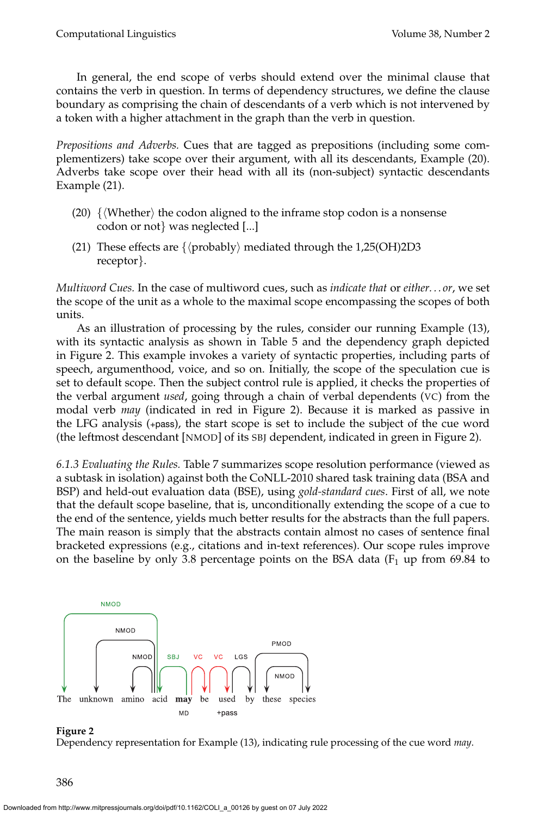In general, the end scope of verbs should extend over the minimal clause that contains the verb in question. In terms of dependency structures, we define the clause boundary as comprising the chain of descendants of a verb which is not intervened by a token with a higher attachment in the graph than the verb in question.

*Prepositions and Adverbs.* Cues that are tagged as prepositions (including some complementizers) take scope over their argument, with all its descendants, Example (20). Adverbs take scope over their head with all its (non-subject) syntactic descendants Example (21).

- (20)  $\{$  (Whether) the codon aligned to the inframe stop codon is a nonsense codon or not} was neglected [...]
- (21) These effects are  $\{\langle \text{probably} \rangle \}$  mediated through the 1,25(OH)2D3 receptor}.

*Multiword Cues.* In the case of multiword cues, such as *indicate that* or *either. . . or*, we set the scope of the unit as a whole to the maximal scope encompassing the scopes of both units.

As an illustration of processing by the rules, consider our running Example (13), with its syntactic analysis as shown in Table 5 and the dependency graph depicted in Figure 2. This example invokes a variety of syntactic properties, including parts of speech, argumenthood, voice, and so on. Initially, the scope of the speculation cue is set to default scope. Then the subject control rule is applied, it checks the properties of the verbal argument *used*, going through a chain of verbal dependents (VC) from the modal verb *may* (indicated in red in Figure 2). Because it is marked as passive in the LFG analysis (+pass), the start scope is set to include the subject of the cue word (the leftmost descendant [NMOD] of its SBJ dependent, indicated in green in Figure 2).

*6.1.3 Evaluating the Rules.* Table 7 summarizes scope resolution performance (viewed as a subtask in isolation) against both the CoNLL-2010 shared task training data (BSA and BSP) and held-out evaluation data (BSE), using *gold-standard cues*. First of all, we note that the default scope baseline, that is, unconditionally extending the scope of a cue to the end of the sentence, yields much better results for the abstracts than the full papers. The main reason is simply that the abstracts contain almost no cases of sentence final bracketed expressions (e.g., citations and in-text references). Our scope rules improve on the baseline by only 3.8 percentage points on the BSA data ( $F_1$  up from 69.84 to



#### **Figure 2**

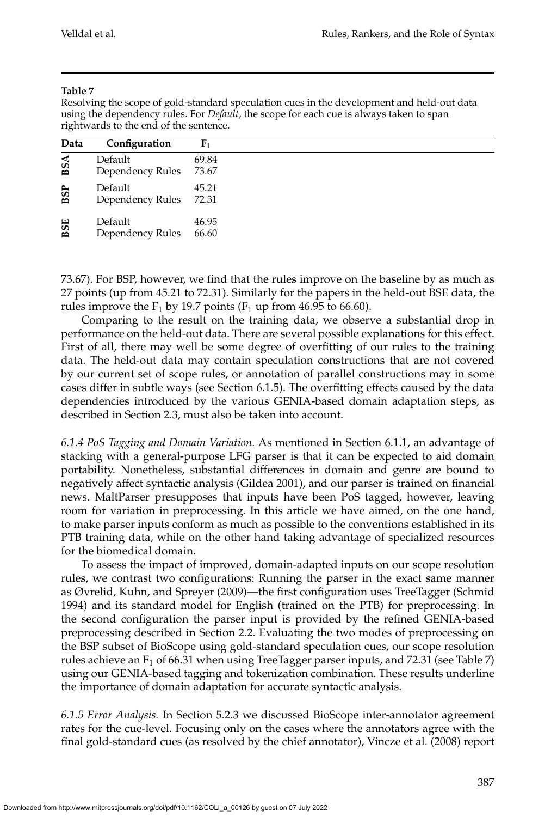### **Table 7**

Resolving the scope of gold-standard speculation cues in the development and held-out data using the dependency rules. For *Default*, the scope for each cue is always taken to span rightwards to the end of the sentence.

| Data       | Configuration               | ${\bf F}_1$    |
|------------|-----------------------------|----------------|
| BSA        | Default<br>Dependency Rules | 69.84<br>73.67 |
| <b>BSP</b> | Default<br>Dependency Rules | 45.21<br>72.31 |
| BSE        | Default<br>Dependency Rules | 46.95<br>66.60 |

73.67). For BSP, however, we find that the rules improve on the baseline by as much as 27 points (up from 45.21 to 72.31). Similarly for the papers in the held-out BSE data, the rules improve the  $F_1$  by 19.7 points ( $F_1$  up from 46.95 to 66.60).

Comparing to the result on the training data, we observe a substantial drop in performance on the held-out data. There are several possible explanations for this effect. First of all, there may well be some degree of overfitting of our rules to the training data. The held-out data may contain speculation constructions that are not covered by our current set of scope rules, or annotation of parallel constructions may in some cases differ in subtle ways (see Section 6.1.5). The overfitting effects caused by the data dependencies introduced by the various GENIA-based domain adaptation steps, as described in Section 2.3, must also be taken into account.

*6.1.4 PoS Tagging and Domain Variation.* As mentioned in Section 6.1.1, an advantage of stacking with a general-purpose LFG parser is that it can be expected to aid domain portability. Nonetheless, substantial differences in domain and genre are bound to negatively affect syntactic analysis (Gildea 2001), and our parser is trained on financial news. MaltParser presupposes that inputs have been PoS tagged, however, leaving room for variation in preprocessing. In this article we have aimed, on the one hand, to make parser inputs conform as much as possible to the conventions established in its PTB training data, while on the other hand taking advantage of specialized resources for the biomedical domain.

To assess the impact of improved, domain-adapted inputs on our scope resolution rules, we contrast two configurations: Running the parser in the exact same manner as Øvrelid, Kuhn, and Spreyer (2009)—the first configuration uses TreeTagger (Schmid 1994) and its standard model for English (trained on the PTB) for preprocessing. In the second configuration the parser input is provided by the refined GENIA-based preprocessing described in Section 2.2. Evaluating the two modes of preprocessing on the BSP subset of BioScope using gold-standard speculation cues, our scope resolution rules achieve an  $F_1$  of 66.31 when using TreeTagger parser inputs, and 72.31 (see Table 7) using our GENIA-based tagging and tokenization combination. These results underline the importance of domain adaptation for accurate syntactic analysis.

*6.1.5 Error Analysis.* In Section 5.2.3 we discussed BioScope inter-annotator agreement rates for the cue-level. Focusing only on the cases where the annotators agree with the final gold-standard cues (as resolved by the chief annotator), Vincze et al. (2008) report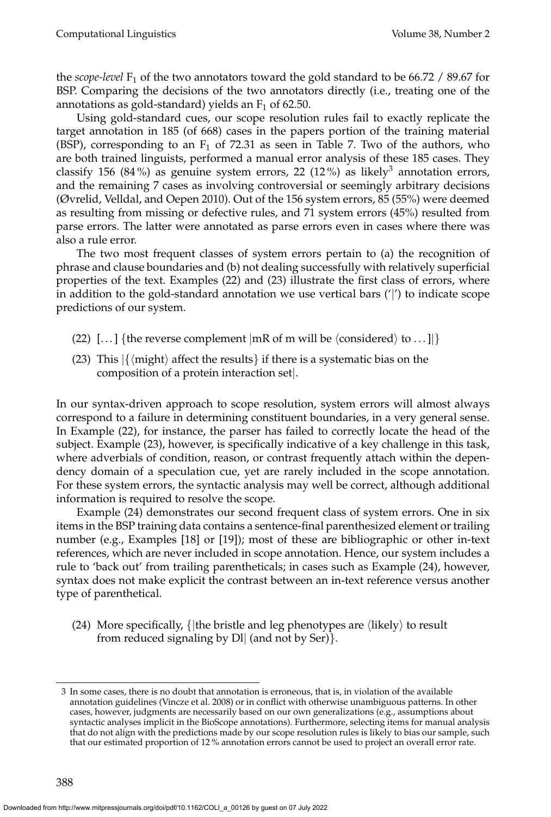the *scope-level*  $F_1$  of the two annotators toward the gold standard to be 66.72 / 89.67 for BSP. Comparing the decisions of the two annotators directly (i.e., treating one of the annotations as gold-standard) yields an  $F_1$  of 62.50.

Using gold-standard cues, our scope resolution rules fail to exactly replicate the target annotation in 185 (of 668) cases in the papers portion of the training material (BSP), corresponding to an  $F_1$  of 72.31 as seen in Table 7. Two of the authors, who are both trained linguists, performed a manual error analysis of these 185 cases. They classify 156 (84%) as genuine system errors, 22 (12%) as likely<sup>3</sup> annotation errors, and the remaining 7 cases as involving controversial or seemingly arbitrary decisions (Øvrelid, Velldal, and Oepen 2010). Out of the 156 system errors, 85 (55%) were deemed as resulting from missing or defective rules, and 71 system errors (45%) resulted from parse errors. The latter were annotated as parse errors even in cases where there was also a rule error.

The two most frequent classes of system errors pertain to (a) the recognition of phrase and clause boundaries and (b) not dealing successfully with relatively superficial properties of the text. Examples (22) and (23) illustrate the first class of errors, where in addition to the gold-standard annotation we use vertical bars  $('')$  to indicate scope predictions of our system.

- (22)  $[...]$  {the reverse complement  $|mR$  of m will be  $\langle$  considered $\rangle$  to ...]
- (23) This  $|\{\langle \text{might} \rangle\}$  affect the results  $\}$  if there is a systematic bias on the composition of a protein interaction set|.

In our syntax-driven approach to scope resolution, system errors will almost always correspond to a failure in determining constituent boundaries, in a very general sense. In Example (22), for instance, the parser has failed to correctly locate the head of the subject. Example (23), however, is specifically indicative of a key challenge in this task, where adverbials of condition, reason, or contrast frequently attach within the dependency domain of a speculation cue, yet are rarely included in the scope annotation. For these system errors, the syntactic analysis may well be correct, although additional information is required to resolve the scope.

Example (24) demonstrates our second frequent class of system errors. One in six items in the BSP training data contains a sentence-final parenthesized element or trailing number (e.g., Examples [18] or [19]); most of these are bibliographic or other in-text references, which are never included in scope annotation. Hence, our system includes a rule to 'back out' from trailing parentheticals; in cases such as Example (24), however, syntax does not make explicit the contrast between an in-text reference versus another type of parenthetical.

(24) More specifically, { the bristle and leg phenotypes are  $\langle$  likely to result from reduced signaling by Dl| (and not by Ser)}.

<sup>3</sup> In some cases, there is no doubt that annotation is erroneous, that is, in violation of the available annotation guidelines (Vincze et al. 2008) or in conflict with otherwise unambiguous patterns. In other cases, however, judgments are necessarily based on our own generalizations (e.g., assumptions about syntactic analyses implicit in the BioScope annotations). Furthermore, selecting items for manual analysis that do not align with the predictions made by our scope resolution rules is likely to bias our sample, such that our estimated proportion of 12 % annotation errors cannot be used to project an overall error rate.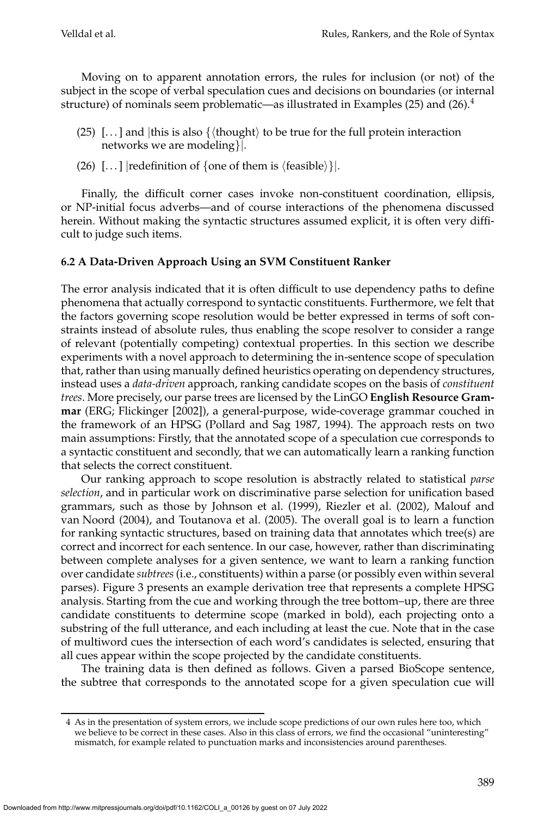Moving on to apparent annotation errors, the rules for inclusion (or not) of the subject in the scope of verbal speculation cues and decisions on boundaries (or internal structure) of nominals seem problematic—as illustrated in Examples (25) and (26).<sup>4</sup>

- (25)  $\left[ \ldots \right]$  and |this is also  $\{ \langle \text{thought} \rangle \}$  to be true for the full protein interaction networks we are modeling}|.
- (26)  $\left[ \ldots \right]$  |redefinition of {one of them is  $\langle$  feasible $\rangle$  } |.

Finally, the difficult corner cases invoke non-constituent coordination, ellipsis, or NP-initial focus adverbs—and of course interactions of the phenomena discussed herein. Without making the syntactic structures assumed explicit, it is often very difficult to judge such items.

# **6.2 A Data-Driven Approach Using an SVM Constituent Ranker**

The error analysis indicated that it is often difficult to use dependency paths to define phenomena that actually correspond to syntactic constituents. Furthermore, we felt that the factors governing scope resolution would be better expressed in terms of soft constraints instead of absolute rules, thus enabling the scope resolver to consider a range of relevant (potentially competing) contextual properties. In this section we describe experiments with a novel approach to determining the in-sentence scope of speculation that, rather than using manually defined heuristics operating on dependency structures, instead uses a *data-driven* approach, ranking candidate scopes on the basis of *constituent trees*. More precisely, our parse trees are licensed by the LinGO **English Resource Grammar** (ERG; Flickinger [2002]), a general-purpose, wide-coverage grammar couched in the framework of an HPSG (Pollard and Sag 1987, 1994). The approach rests on two main assumptions: Firstly, that the annotated scope of a speculation cue corresponds to a syntactic constituent and secondly, that we can automatically learn a ranking function that selects the correct constituent.

Our ranking approach to scope resolution is abstractly related to statistical *parse selection*, and in particular work on discriminative parse selection for unification based grammars, such as those by Johnson et al. (1999), Riezler et al. (2002), Malouf and van Noord (2004), and Toutanova et al. (2005). The overall goal is to learn a function for ranking syntactic structures, based on training data that annotates which tree(s) are correct and incorrect for each sentence. In our case, however, rather than discriminating between complete analyses for a given sentence, we want to learn a ranking function over candidate *subtrees*(i.e., constituents) within a parse (or possibly even within several parses). Figure 3 presents an example derivation tree that represents a complete HPSG analysis. Starting from the cue and working through the tree bottom–up, there are three candidate constituents to determine scope (marked in bold), each projecting onto a substring of the full utterance, and each including at least the cue. Note that in the case of multiword cues the intersection of each word's candidates is selected, ensuring that all cues appear within the scope projected by the candidate constituents.

The training data is then defined as follows. Given a parsed BioScope sentence, the subtree that corresponds to the annotated scope for a given speculation cue will

<sup>4</sup> As in the presentation of system errors, we include scope predictions of our own rules here too, which we believe to be correct in these cases. Also in this class of errors, we find the occasional "uninteresting" mismatch, for example related to punctuation marks and inconsistencies around parentheses.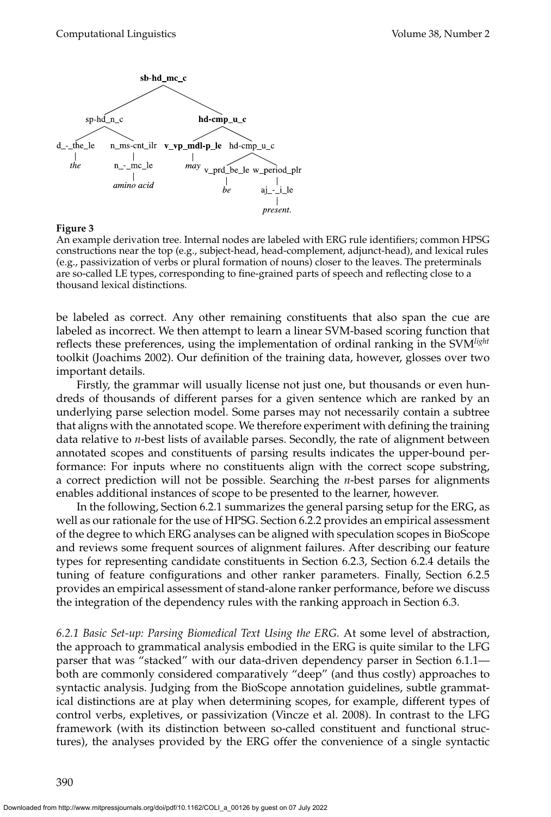

#### **Figure 3**

An example derivation tree. Internal nodes are labeled with ERG rule identifiers; common HPSG constructions near the top (e.g., subject-head, head-complement, adjunct-head), and lexical rules (e.g., passivization of verbs or plural formation of nouns) closer to the leaves. The preterminals are so-called LE types, corresponding to fine-grained parts of speech and reflecting close to a thousand lexical distinctions.

be labeled as correct. Any other remaining constituents that also span the cue are labeled as incorrect. We then attempt to learn a linear SVM-based scoring function that reflects these preferences, using the implementation of ordinal ranking in the SVM*light* toolkit (Joachims 2002). Our definition of the training data, however, glosses over two important details.

Firstly, the grammar will usually license not just one, but thousands or even hundreds of thousands of different parses for a given sentence which are ranked by an underlying parse selection model. Some parses may not necessarily contain a subtree that aligns with the annotated scope. We therefore experiment with defining the training data relative to *n*-best lists of available parses. Secondly, the rate of alignment between annotated scopes and constituents of parsing results indicates the upper-bound performance: For inputs where no constituents align with the correct scope substring, a correct prediction will not be possible. Searching the *n*-best parses for alignments enables additional instances of scope to be presented to the learner, however.

In the following, Section 6.2.1 summarizes the general parsing setup for the ERG, as well as our rationale for the use of HPSG. Section 6.2.2 provides an empirical assessment of the degree to which ERG analyses can be aligned with speculation scopes in BioScope and reviews some frequent sources of alignment failures. After describing our feature types for representing candidate constituents in Section 6.2.3, Section 6.2.4 details the tuning of feature configurations and other ranker parameters. Finally, Section 6.2.5 provides an empirical assessment of stand-alone ranker performance, before we discuss the integration of the dependency rules with the ranking approach in Section 6.3.

*6.2.1 Basic Set-up: Parsing Biomedical Text Using the ERG.* At some level of abstraction, the approach to grammatical analysis embodied in the ERG is quite similar to the LFG parser that was "stacked" with our data-driven dependency parser in Section 6.1.1 both are commonly considered comparatively "deep" (and thus costly) approaches to syntactic analysis. Judging from the BioScope annotation guidelines, subtle grammatical distinctions are at play when determining scopes, for example, different types of control verbs, expletives, or passivization (Vincze et al. 2008). In contrast to the LFG framework (with its distinction between so-called constituent and functional structures), the analyses provided by the ERG offer the convenience of a single syntactic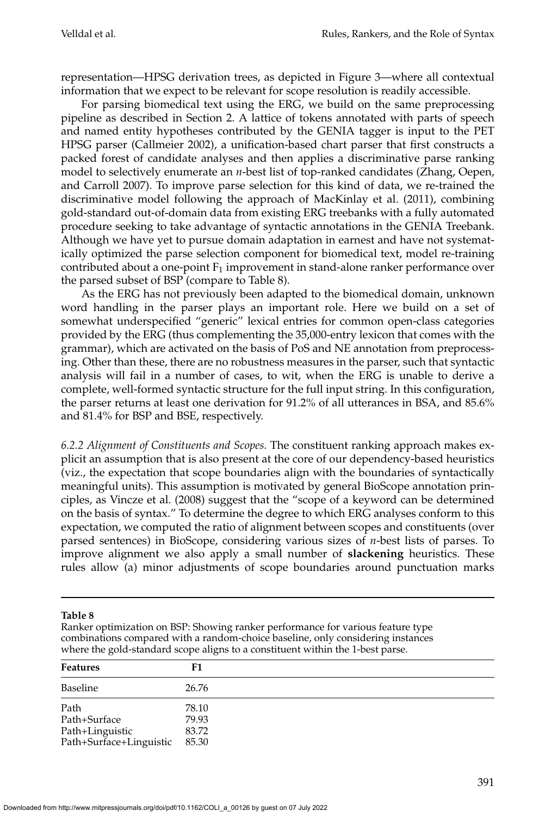representation—HPSG derivation trees, as depicted in Figure 3—where all contextual information that we expect to be relevant for scope resolution is readily accessible.

For parsing biomedical text using the ERG, we build on the same preprocessing pipeline as described in Section 2. A lattice of tokens annotated with parts of speech and named entity hypotheses contributed by the GENIA tagger is input to the PET HPSG parser (Callmeier 2002), a unification-based chart parser that first constructs a packed forest of candidate analyses and then applies a discriminative parse ranking model to selectively enumerate an *n*-best list of top-ranked candidates (Zhang, Oepen, and Carroll 2007). To improve parse selection for this kind of data, we re-trained the discriminative model following the approach of MacKinlay et al. (2011), combining gold-standard out-of-domain data from existing ERG treebanks with a fully automated procedure seeking to take advantage of syntactic annotations in the GENIA Treebank. Although we have yet to pursue domain adaptation in earnest and have not systematically optimized the parse selection component for biomedical text, model re-training contributed about a one-point  $F_1$  improvement in stand-alone ranker performance over the parsed subset of BSP (compare to Table 8).

As the ERG has not previously been adapted to the biomedical domain, unknown word handling in the parser plays an important role. Here we build on a set of somewhat underspecified "generic" lexical entries for common open-class categories provided by the ERG (thus complementing the 35,000-entry lexicon that comes with the grammar), which are activated on the basis of PoS and NE annotation from preprocessing. Other than these, there are no robustness measures in the parser, such that syntactic analysis will fail in a number of cases, to wit, when the ERG is unable to derive a complete, well-formed syntactic structure for the full input string. In this configuration, the parser returns at least one derivation for 91.2% of all utterances in BSA, and 85.6% and 81.4% for BSP and BSE, respectively.

*6.2.2 Alignment of Constituents and Scopes.* The constituent ranking approach makes explicit an assumption that is also present at the core of our dependency-based heuristics (viz., the expectation that scope boundaries align with the boundaries of syntactically meaningful units). This assumption is motivated by general BioScope annotation principles, as Vincze et al. (2008) suggest that the "scope of a keyword can be determined on the basis of syntax." To determine the degree to which ERG analyses conform to this expectation, we computed the ratio of alignment between scopes and constituents (over parsed sentences) in BioScope, considering various sizes of *n*-best lists of parses. To improve alignment we also apply a small number of **slackening** heuristics. These rules allow (a) minor adjustments of scope boundaries around punctuation marks

#### **Table 8**

Ranker optimization on BSP: Showing ranker performance for various feature type combinations compared with a random-choice baseline, only considering instances where the gold-standard scope aligns to a constituent within the 1-best parse.

| <b>Features</b>                                                    | F1                               |
|--------------------------------------------------------------------|----------------------------------|
| Baseline                                                           | 26.76                            |
| Path<br>Path+Surface<br>Path+Linguistic<br>Path+Surface+Linguistic | 78.10<br>79.93<br>83.72<br>85.30 |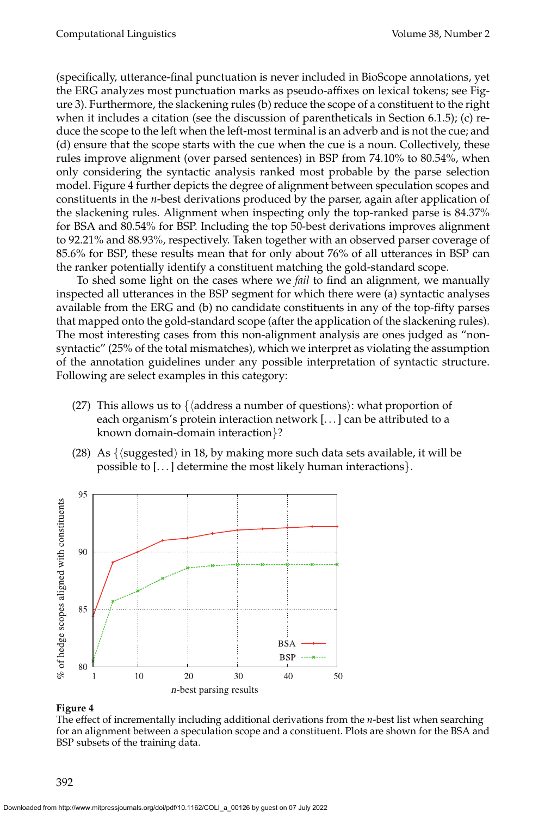(specifically, utterance-final punctuation is never included in BioScope annotations, yet the ERG analyzes most punctuation marks as pseudo-affixes on lexical tokens; see Figure 3). Furthermore, the slackening rules (b) reduce the scope of a constituent to the right when it includes a citation (see the discussion of parentheticals in Section 6.1.5); (c) reduce the scope to the left when the left-most terminal is an adverband is not the cue; and (d) ensure that the scope starts with the cue when the cue is a noun. Collectively, these rules improve alignment (over parsed sentences) in BSP from 74.10% to 80.54%, when only considering the syntactic analysis ranked most probable by the parse selection model. Figure 4 further depicts the degree of alignment between speculation scopes and constituents in the *n*-best derivations produced by the parser, again after application of the slackening rules. Alignment when inspecting only the top-ranked parse is 84.37% for BSA and 80.54% for BSP. Including the top 50-best derivations improves alignment to 92.21% and 88.93%, respectively. Taken together with an observed parser coverage of 85.6% for BSP, these results mean that for only about 76% of all utterances in BSP can the ranker potentially identify a constituent matching the gold-standard scope.

To shed some light on the cases where we *fail* to find an alignment, we manually inspected all utterances in the BSP segment for which there were (a) syntactic analyses available from the ERG and (b) no candidate constituents in any of the top-fifty parses that mapped onto the gold-standard scope (after the application of the slackening rules). The most interesting cases from this non-alignment analysis are ones judged as "nonsyntactic" (25% of the total mismatches), which we interpret as violating the assumption of the annotation guidelines under any possible interpretation of syntactic structure. Following are select examples in this category:

- (27) This allows us to  $\{\langle \text{address a number of questions} \rangle : \text{what proportion of}\}$ each organism's protein interaction network  $[...]$  can be attributed to a known domain-domain interaction}?
- (28) As  $\{\langle{\rm suggested}\rangle\}$  in 18, by making more such data sets available, it will be possible to  $[...]$  determine the most likely human interactions $].$



### **Figure 4**

The effect of incrementally including additional derivations from the *n*-best list when searching for an alignment between a speculation scope and a constituent. Plots are shown for the BSA and BSP subsets of the training data.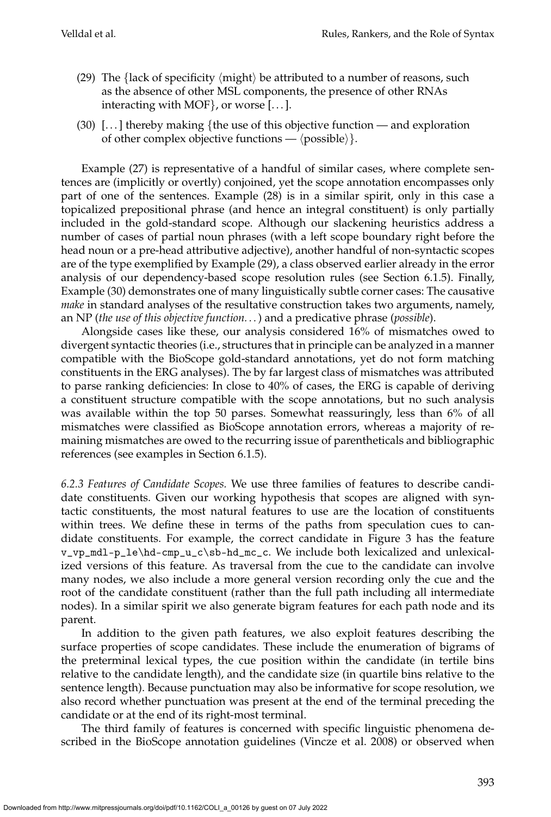- (29) The {lack of specificity  $\langle \text{might} \rangle$  be attributed to a number of reasons, such as the absence of other MSL components, the presence of other RNAs interacting with MOF $\}$ , or worse  $[\dots]$ .
- (30)  $\left[ \ldots \right]$  thereby making {the use of this objective function and exploration of other complex objective functions —  $\langle$  possible $\rangle$  }.

Example (27) is representative of a handful of similar cases, where complete sentences are (implicitly or overtly) conjoined, yet the scope annotation encompasses only part of one of the sentences. Example (28) is in a similar spirit, only in this case a topicalized prepositional phrase (and hence an integral constituent) is only partially included in the gold-standard scope. Although our slackening heuristics address a number of cases of partial noun phrases (with a left scope boundary right before the head noun or a pre-head attributive adjective), another handful of non-syntactic scopes are of the type exemplified by Example (29), a class observed earlier already in the error analysis of our dependency-based scope resolution rules (see Section 6.1.5). Finally, Example (30) demonstrates one of many linguistically subtle corner cases: The causative *make* in standard analyses of the resultative construction takes two arguments, namely, an NP (*the use of this objective function. . .*) and a predicative phrase (*possible*).

Alongside cases like these, our analysis considered 16% of mismatches owed to divergent syntactic theories (i.e., structures that in principle can be analyzed in a manner compatible with the BioScope gold-standard annotations, yet do not form matching constituents in the ERG analyses). The by far largest class of mismatches was attributed to parse ranking deficiencies: In close to 40% of cases, the ERG is capable of deriving a constituent structure compatible with the scope annotations, but no such analysis was available within the top 50 parses. Somewhat reassuringly, less than 6% of all mismatches were classified as BioScope annotation errors, whereas a majority of remaining mismatches are owed to the recurring issue of parentheticals and bibliographic references (see examples in Section 6.1.5).

*6.2.3 Features of Candidate Scopes.* We use three families of features to describe candidate constituents. Given our working hypothesis that scopes are aligned with syntactic constituents, the most natural features to use are the location of constituents within trees. We define these in terms of the paths from speculation cues to candidate constituents. For example, the correct candidate in Figure 3 has the feature v\_vp\_mdl-p\_le\hd-cmp\_u\_c\sb-hd\_mc\_c. We include both lexicalized and unlexicalized versions of this feature. As traversal from the cue to the candidate can involve many nodes, we also include a more general version recording only the cue and the root of the candidate constituent (rather than the full path including all intermediate nodes). In a similar spirit we also generate bigram features for each path node and its parent.

In addition to the given path features, we also exploit features describing the surface properties of scope candidates. These include the enumeration of bigrams of the preterminal lexical types, the cue position within the candidate (in tertile bins relative to the candidate length), and the candidate size (in quartile bins relative to the sentence length). Because punctuation may also be informative for scope resolution, we also record whether punctuation was present at the end of the terminal preceding the candidate or at the end of its right-most terminal.

The third family of features is concerned with specific linguistic phenomena described in the BioScope annotation guidelines (Vincze et al. 2008) or observed when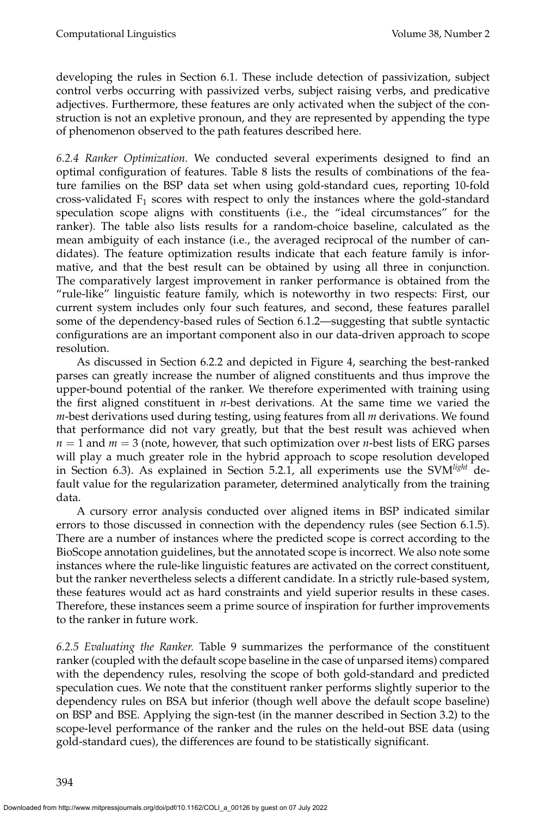developing the rules in Section 6.1. These include detection of passivization, subject control verbs occurring with passivized verbs, subject raising verbs, and predicative adjectives. Furthermore, these features are only activated when the subject of the construction is not an expletive pronoun, and they are represented by appending the type of phenomenon observed to the path features described here.

*6.2.4 Ranker Optimization.* We conducted several experiments designed to find an optimal configuration of features. Table 8 lists the results of combinations of the feature families on the BSP data set when using gold-standard cues, reporting 10-fold cross-validated  $F_1$  scores with respect to only the instances where the gold-standard speculation scope aligns with constituents (i.e., the "ideal circumstances" for the ranker). The table also lists results for a random-choice baseline, calculated as the mean ambiguity of each instance (i.e., the averaged reciprocal of the number of candidates). The feature optimization results indicate that each feature family is informative, and that the best result can be obtained by using all three in conjunction. The comparatively largest improvement in ranker performance is obtained from the "rule-like" linguistic feature family, which is noteworthy in two respects: First, our current system includes only four such features, and second, these features parallel some of the dependency-based rules of Section 6.1.2—suggesting that subtle syntactic configurations are an important component also in our data-driven approach to scope resolution.

As discussed in Section 6.2.2 and depicted in Figure 4, searching the best-ranked parses can greatly increase the number of aligned constituents and thus improve the upper-bound potential of the ranker. We therefore experimented with training using the first aligned constituent in *n*-best derivations. At the same time we varied the *m*-best derivations used during testing, using features from all *m* derivations. We found that performance did not vary greatly, but that the best result was achieved when  $n = 1$  and  $m = 3$  (note, however, that such optimization over *n*-best lists of ERG parses will play a much greater role in the hybrid approach to scope resolution developed in Section 6.3). As explained in Section 5.2.1, all experiments use the SVM*light* default value for the regularization parameter, determined analytically from the training data.

A cursory error analysis conducted over aligned items in BSP indicated similar errors to those discussed in connection with the dependency rules (see Section 6.1.5). There are a number of instances where the predicted scope is correct according to the BioScope annotation guidelines, but the annotated scope is incorrect. We also note some instances where the rule-like linguistic features are activated on the correct constituent, but the ranker nevertheless selects a different candidate. In a strictly rule-based system, these features would act as hard constraints and yield superior results in these cases. Therefore, these instances seem a prime source of inspiration for further improvements to the ranker in future work.

*6.2.5 Evaluating the Ranker.* Table 9 summarizes the performance of the constituent ranker (coupled with the default scope baseline in the case of unparsed items) compared with the dependency rules, resolving the scope of both gold-standard and predicted speculation cues. We note that the constituent ranker performs slightly superior to the dependency rules on BSA but inferior (though well above the default scope baseline) on BSP and BSE. Applying the sign-test (in the manner described in Section 3.2) to the scope-level performance of the ranker and the rules on the held-out BSE data (using gold-standard cues), the differences are found to be statistically significant.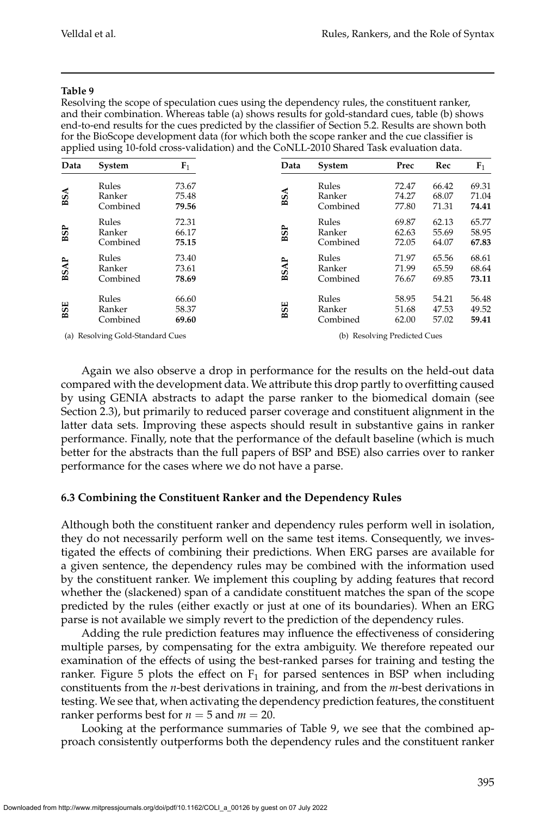### **Table 9**

Resolving the scope of speculation cues using the dependency rules, the constituent ranker, and their combination. Whereas table (a) shows results for gold-standard cues, table (b) shows end-to-end results for the cues predicted by the classifier of Section 5.2. Results are shown both for the BioScope development data (for which both the scope ranker and the cue classifier is applied using 10-fold cross-validation) and the CoNLL-2010 Shared Task evaluation data.

| Data        | System                      | $F_1$                   | Data        | System                      | Prec                    | Rec                     | F <sub>1</sub>          |
|-------------|-----------------------------|-------------------------|-------------|-----------------------------|-------------------------|-------------------------|-------------------------|
| <b>BSA</b>  | Rules<br>Ranker<br>Combined | 73.67<br>75.48<br>79.56 | <b>BSA</b>  | Rules<br>Ranker<br>Combined | 72.47<br>74.27<br>77.80 | 66.42<br>68.07<br>71.31 | 69.31<br>71.04<br>74.41 |
| <b>BSP</b>  | Rules<br>Ranker<br>Combined | 72.31<br>66.17<br>75.15 | <b>BSP</b>  | Rules<br>Ranker<br>Combined | 69.87<br>62.63<br>72.05 | 62.13<br>55.69<br>64.07 | 65.77<br>58.95<br>67.83 |
| <b>BSAP</b> | Rules<br>Ranker<br>Combined | 73.40<br>73.61<br>78.69 | <b>BSAP</b> | Rules<br>Ranker<br>Combined | 71.97<br>71.99<br>76.67 | 65.56<br>65.59<br>69.85 | 68.61<br>68.64<br>73.11 |
| <b>BSE</b>  | Rules<br>Ranker<br>Combined | 66.60<br>58.37<br>69.60 | <b>BSE</b>  | Rules<br>Ranker<br>Combined | 58.95<br>51.68<br>62.00 | 54.21<br>47.53<br>57.02 | 56.48<br>49.52<br>59.41 |

(a) Resolving Gold-Standard Cues

(b) Resolving Predicted Cues

Again we also observe a drop in performance for the results on the held-out data compared with the development data. We attribute this drop partly to overfitting caused by using GENIA abstracts to adapt the parse ranker to the biomedical domain (see Section 2.3), but primarily to reduced parser coverage and constituent alignment in the latter data sets. Improving these aspects should result in substantive gains in ranker performance. Finally, note that the performance of the default baseline (which is much better for the abstracts than the full papers of BSP and BSE) also carries over to ranker performance for the cases where we do not have a parse.

# **6.3 Combining the Constituent Ranker and the Dependency Rules**

Although both the constituent ranker and dependency rules perform well in isolation, they do not necessarily perform well on the same test items. Consequently, we investigated the effects of combining their predictions. When ERG parses are available for a given sentence, the dependency rules may be combined with the information used by the constituent ranker. We implement this coupling by adding features that record whether the (slackened) span of a candidate constituent matches the span of the scope predicted by the rules (either exactly or just at one of its boundaries). When an ERG parse is not available we simply revert to the prediction of the dependency rules.

Adding the rule prediction features may influence the effectiveness of considering multiple parses, by compensating for the extra ambiguity. We therefore repeated our examination of the effects of using the best-ranked parses for training and testing the ranker. Figure 5 plots the effect on  $F_1$  for parsed sentences in BSP when including constituents from the *n*-best derivations in training, and from the *m*-best derivations in testing. We see that, when activating the dependency prediction features, the constituent ranker performs best for  $n = 5$  and  $m = 20$ .

Looking at the performance summaries of Table 9, we see that the combined approach consistently outperforms both the dependency rules and the constituent ranker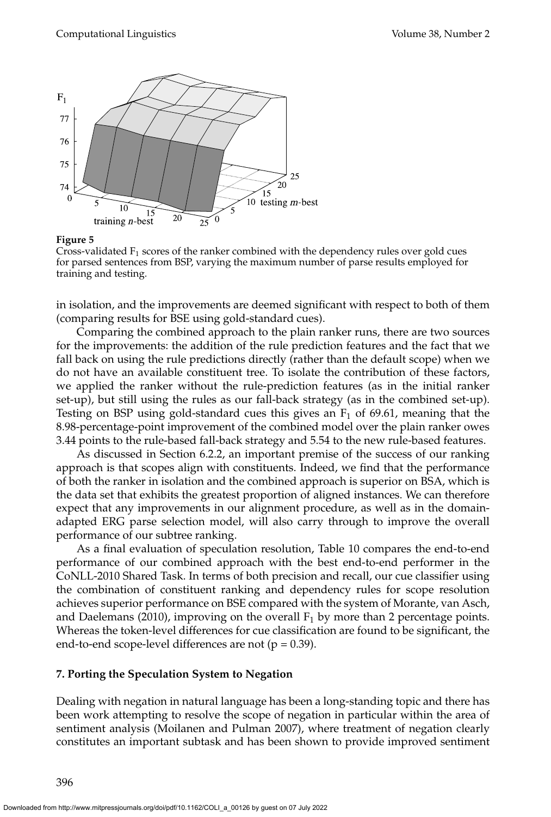

#### **Figure 5**

Cross-validated  $F_1$  scores of the ranker combined with the dependency rules over gold cues for parsed sentences from BSP, varying the maximum number of parse results employed for training and testing.

in isolation, and the improvements are deemed significant with respect to both of them (comparing results for BSE using gold-standard cues).

Comparing the combined approach to the plain ranker runs, there are two sources for the improvements: the addition of the rule prediction features and the fact that we fall back on using the rule predictions directly (rather than the default scope) when we do not have an available constituent tree. To isolate the contribution of these factors, we applied the ranker without the rule-prediction features (as in the initial ranker set-up), but still using the rules as our fall-back strategy (as in the combined set-up). Testing on BSP using gold-standard cues this gives an  $F_1$  of 69.61, meaning that the 8.98-percentage-point improvement of the combined model over the plain ranker owes 3.44 points to the rule-based fall-back strategy and 5.54 to the new rule-based features.

As discussed in Section 6.2.2, an important premise of the success of our ranking approach is that scopes align with constituents. Indeed, we find that the performance of both the ranker in isolation and the combined approach is superior on BSA, which is the data set that exhibits the greatest proportion of aligned instances. We can therefore expect that any improvements in our alignment procedure, as well as in the domainadapted ERG parse selection model, will also carry through to improve the overall performance of our subtree ranking.

As a final evaluation of speculation resolution, Table 10 compares the end-to-end performance of our combined approach with the best end-to-end performer in the CoNLL-2010 Shared Task. In terms of both precision and recall, our cue classifier using the combination of constituent ranking and dependency rules for scope resolution achieves superior performance on BSE compared with the system of Morante, van Asch, and Daelemans (2010), improving on the overall  $F_1$  by more than 2 percentage points. Whereas the token-level differences for cue classification are found to be significant, the end-to-end scope-level differences are not ( $p = 0.39$ ).

#### **7. Porting the Speculation System to Negation**

Dealing with negation in natural language has been a long-standing topic and there has been work attempting to resolve the scope of negation in particular within the area of sentiment analysis (Moilanen and Pulman 2007), where treatment of negation clearly constitutes an important subtask and has been shown to provide improved sentiment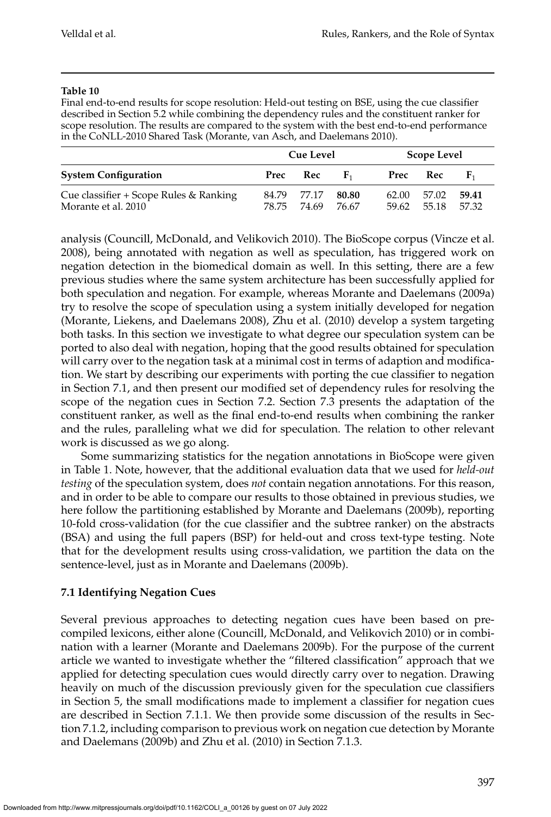### **Table 10**

Final end-to-end results for scope resolution: Held-out testing on BSE, using the cue classifier described in Section 5.2 while combining the dependency rules and the constituent ranker for scope resolution. The results are compared to the system with the best end-to-end performance in the CoNLL-2010 Shared Task (Morante, van Asch, and Daelemans 2010).

|                                                               |       | <b>Cue Level</b>     |                | <b>Scope Level</b> |                |                |  |
|---------------------------------------------------------------|-------|----------------------|----------------|--------------------|----------------|----------------|--|
| <b>System Configuration</b>                                   |       | Prec Rec             | $F_{1}$        |                    | Prec Rec       | - F+           |  |
| Cue classifier + Scope Rules & Ranking<br>Morante et al. 2010 | 78.75 | 84.79 77.17<br>74.69 | 80.80<br>76.67 | 62.00<br>59.62     | 57.02<br>55.18 | 59.41<br>57.32 |  |

analysis (Councill, McDonald, and Velikovich 2010). The BioScope corpus (Vincze et al. 2008), being annotated with negation as well as speculation, has triggered work on negation detection in the biomedical domain as well. In this setting, there are a few previous studies where the same system architecture has been successfully applied for both speculation and negation. For example, whereas Morante and Daelemans (2009a) try to resolve the scope of speculation using a system initially developed for negation (Morante, Liekens, and Daelemans 2008), Zhu et al. (2010) develop a system targeting both tasks. In this section we investigate to what degree our speculation system can be ported to also deal with negation, hoping that the good results obtained for speculation will carry over to the negation task at a minimal cost in terms of adaption and modification. We start by describing our experiments with porting the cue classifier to negation in Section 7.1, and then present our modified set of dependency rules for resolving the scope of the negation cues in Section 7.2. Section 7.3 presents the adaptation of the constituent ranker, as well as the final end-to-end results when combining the ranker and the rules, paralleling what we did for speculation. The relation to other relevant work is discussed as we go along.

Some summarizing statistics for the negation annotations in BioScope were given in Table 1. Note, however, that the additional evaluation data that we used for *held-out testing* of the speculation system, does *not* contain negation annotations. For this reason, and in order to be able to compare our results to those obtained in previous studies, we here follow the partitioning established by Morante and Daelemans (2009b), reporting 10-fold cross-validation (for the cue classifier and the subtree ranker) on the abstracts (BSA) and using the full papers (BSP) for held-out and cross text-type testing. Note that for the development results using cross-validation, we partition the data on the sentence-level, just as in Morante and Daelemans (2009b).

# **7.1 Identifying Negation Cues**

Several previous approaches to detecting negation cues have been based on precompiled lexicons, either alone (Councill, McDonald, and Velikovich 2010) or in combination with a learner (Morante and Daelemans 2009b). For the purpose of the current article we wanted to investigate whether the "filtered classification" approach that we applied for detecting speculation cues would directly carry over to negation. Drawing heavily on much of the discussion previously given for the speculation cue classifiers in Section 5, the small modifications made to implement a classifier for negation cues are described in Section 7.1.1. We then provide some discussion of the results in Section 7.1.2, including comparison to previous work on negation cue detection by Morante and Daelemans (2009b) and Zhu et al. (2010) in Section 7.1.3.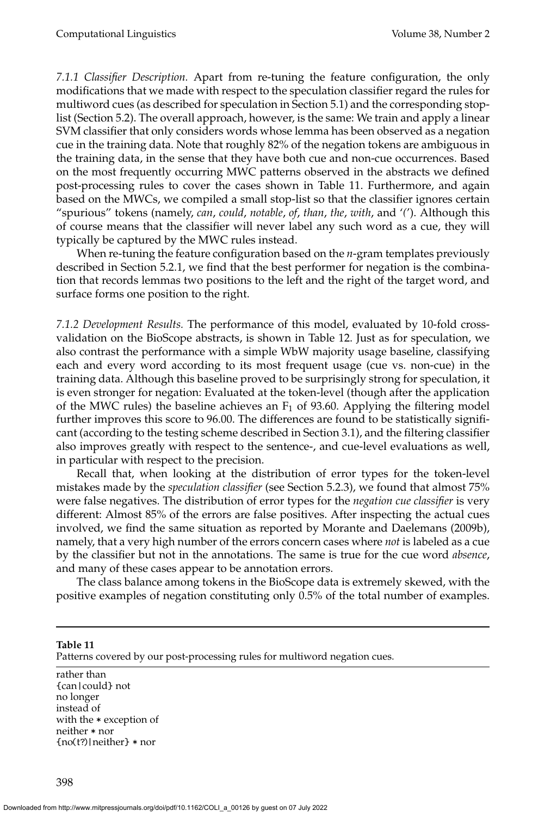*7.1.1 Classifier Description.* Apart from re-tuning the feature configuration, the only modifications that we made with respect to the speculation classifier regard the rules for multiword cues (as described for speculation in Section 5.1) and the corresponding stoplist (Section 5.2). The overall approach, however, is the same: We train and apply a linear SVM classifier that only considers words whose lemma has been observed as a negation cue in the training data. Note that roughly 82% of the negation tokens are ambiguous in the training data, in the sense that they have both cue and non-cue occurrences. Based on the most frequently occurring MWC patterns observed in the abstracts we defined post-processing rules to cover the cases shown in Table 11. Furthermore, and again based on the MWCs, we compiled a small stop-list so that the classifier ignores certain "spurious" tokens (namely, *can*, *could*, *notable*, *of*, *than*, *the*, *with*, and '*(*'). Although this of course means that the classifier will never label any such word as a cue, they will typically be captured by the MWC rules instead.

When re-tuning the feature configuration based on the *n*-gram templates previously described in Section 5.2.1, we find that the best performer for negation is the combination that records lemmas two positions to the left and the right of the target word, and surface forms one position to the right.

*7.1.2 Development Results.* The performance of this model, evaluated by 10-fold crossvalidation on the BioScope abstracts, is shown in Table 12. Just as for speculation, we also contrast the performance with a simple WbW majority usage baseline, classifying each and every word according to its most frequent usage (cue vs. non-cue) in the training data. Although this baseline proved to be surprisingly strong for speculation, it is even stronger for negation: Evaluated at the token-level (though after the application of the MWC rules) the baseline achieves an  $F_1$  of 93.60. Applying the filtering model further improves this score to 96.00. The differences are found to be statistically significant (according to the testing scheme described in Section 3.1), and the filtering classifier also improves greatly with respect to the sentence-, and cue-level evaluations as well, in particular with respect to the precision.

Recall that, when looking at the distribution of error types for the token-level mistakes made by the *speculation classifier* (see Section 5.2.3), we found that almost 75% were false negatives. The distribution of error types for the *negation cue classifier* is very different: Almost 85% of the errors are false positives. After inspecting the actual cues involved, we find the same situation as reported by Morante and Daelemans (2009b), namely, that a very high number of the errors concern cases where *not* is labeled as a cue by the classifier but not in the annotations. The same is true for the cue word *absence*, and many of these cases appear to be annotation errors.

The class balance among tokens in the BioScope data is extremely skewed, with the positive examples of negation constituting only 0.5% of the total number of examples.

**Table 11**

Patterns covered by our post-processing rules for multiword negation cues.

rather than {can|could} not no longer instead of with the \* exception of neither \* nor {no(t?)|neither} \* nor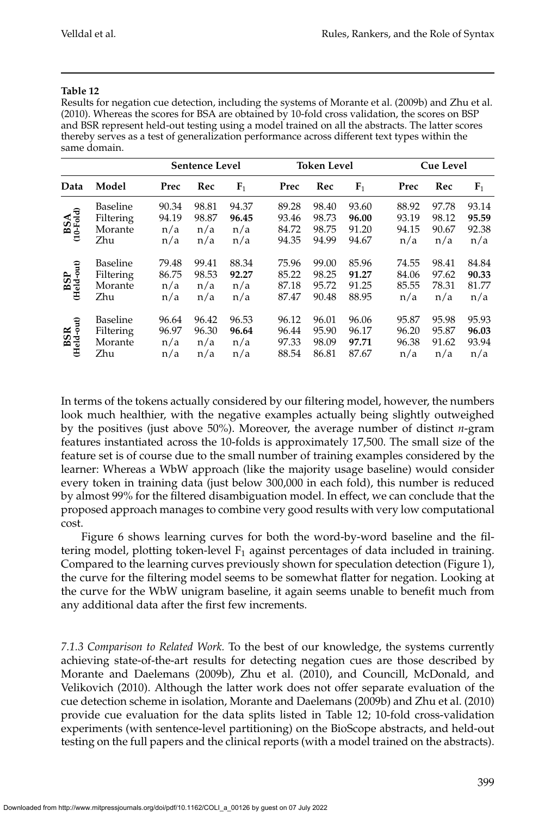### **Table 12**

Results for negation cue detection, including the systems of Morante et al. (2009b) and Zhu et al. (2010). Whereas the scores for BSA are obtained by 10-fold cross validation, the scores on BSP and BSR represent held-out testing using a model trained on all the abstracts. The latter scores thereby serves as a test of generalization performance across different text types within the same domain.

|                      |                                                |                              | <b>Sentence Level</b>        |                              |                                  | <b>Token Level</b>               |                                  |                                | <b>Cue Level</b>               |                                |  |
|----------------------|------------------------------------------------|------------------------------|------------------------------|------------------------------|----------------------------------|----------------------------------|----------------------------------|--------------------------------|--------------------------------|--------------------------------|--|
| Data                 | Model                                          | Prec                         | Rec                          | $F_1$                        | Prec                             | Rec                              | $F_1$                            | Prec                           | Rec                            | $F_1$                          |  |
| BSA<br>(10-Fold)     | <b>Baseline</b><br>Filtering<br>Morante<br>Zhu | 90.34<br>94.19<br>n/a<br>n/a | 98.81<br>98.87<br>n/a<br>n/a | 94.37<br>96.45<br>n/a<br>n/a | 89.28<br>93.46<br>84.72<br>94.35 | 98.40<br>98.73<br>98.75<br>94.99 | 93.60<br>96.00<br>91.20<br>94.67 | 88.92<br>93.19<br>94.15<br>n/a | 97.78<br>98.12<br>90.67<br>n/a | 93.14<br>95.59<br>92.38<br>n/a |  |
| BSP<br>(Held-out)    | <b>Baseline</b><br>Filtering<br>Morante<br>Zhu | 79.48<br>86.75<br>n/a<br>n/a | 99.41<br>98.53<br>n/a<br>n/a | 88.34<br>92.27<br>n/a<br>n/a | 75.96<br>85.22<br>87.18<br>87.47 | 99.00<br>98.25<br>95.72<br>90.48 | 85.96<br>91.27<br>91.25<br>88.95 | 74.55<br>84.06<br>85.55<br>n/a | 98.41<br>97.62<br>78.31<br>n/a | 84.84<br>90.33<br>81.77<br>n/a |  |
| BSR<br>eld-out)<br>Ē | <b>Baseline</b><br>Filtering<br>Morante<br>Zhu | 96.64<br>96.97<br>n/a<br>n/a | 96.42<br>96.30<br>n/a<br>n/a | 96.53<br>96.64<br>n/a<br>n/a | 96.12<br>96.44<br>97.33<br>88.54 | 96.01<br>95.90<br>98.09<br>86.81 | 96.06<br>96.17<br>97.71<br>87.67 | 95.87<br>96.20<br>96.38<br>n/a | 95.98<br>95.87<br>91.62<br>n/a | 95.93<br>96.03<br>93.94<br>n/a |  |

In terms of the tokens actually considered by our filtering model, however, the numbers look much healthier, with the negative examples actually being slightly outweighed by the positives (just above 50%). Moreover, the average number of distinct *n*-gram features instantiated across the 10-folds is approximately 17,500. The small size of the feature set is of course due to the small number of training examples considered by the learner: Whereas a WbW approach (like the majority usage baseline) would consider every token in training data (just below 300,000 in each fold), this number is reduced by almost 99% for the filtered disambiguation model. In effect, we can conclude that the proposed approach manages to combine very good results with very low computational cost.

Figure 6 shows learning curves for both the word-by-word baseline and the filtering model, plotting token-level  $F_1$  against percentages of data included in training. Compared to the learning curves previously shown for speculation detection (Figure 1), the curve for the filtering model seems to be somewhat flatter for negation. Looking at the curve for the WbW unigram baseline, it again seems unable to benefit much from any additional data after the first few increments.

*7.1.3 Comparison to Related Work.* To the best of our knowledge, the systems currently achieving state-of-the-art results for detecting negation cues are those described by Morante and Daelemans (2009b), Zhu et al. (2010), and Councill, McDonald, and Velikovich (2010). Although the latter work does not offer separate evaluation of the cue detection scheme in isolation, Morante and Daelemans (2009b) and Zhu et al. (2010) provide cue evaluation for the data splits listed in Table 12; 10-fold cross-validation experiments (with sentence-level partitioning) on the BioScope abstracts, and held-out testing on the full papers and the clinical reports (with a model trained on the abstracts).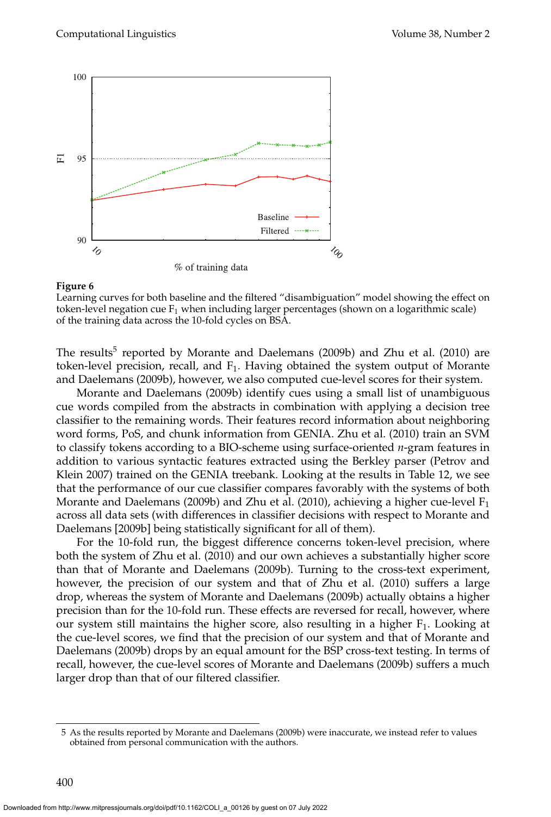

#### **Figure 6**

Learning curves for both baseline and the filtered "disambiguation" model showing the effect on token-level negation cue  $F_1$  when including larger percentages (shown on a logarithmic scale) of the training data across the 10-fold cycles on BSA.

The results<sup>5</sup> reported by Morante and Daelemans (2009b) and Zhu et al. (2010) are token-level precision, recall, and  $F_1$ . Having obtained the system output of Morante and Daelemans (2009b), however, we also computed cue-level scores for their system.

Morante and Daelemans (2009b) identify cues using a small list of unambiguous cue words compiled from the abstracts in combination with applying a decision tree classifier to the remaining words. Their features record information about neighboring word forms, PoS, and chunk information from GENIA. Zhu et al. (2010) train an SVM to classify tokens according to a BIO-scheme using surface-oriented *n*-gram features in addition to various syntactic features extracted using the Berkley parser (Petrov and Klein 2007) trained on the GENIA treebank. Looking at the results in Table 12, we see that the performance of our cue classifier compares favorably with the systems of both Morante and Daelemans (2009b) and Zhu et al. (2010), achieving a higher cue-level  $F_1$ across all data sets (with differences in classifier decisions with respect to Morante and Daelemans [2009b] being statistically significant for all of them).

For the 10-fold run, the biggest difference concerns token-level precision, where both the system of Zhu et al. (2010) and our own achieves a substantially higher score than that of Morante and Daelemans (2009b). Turning to the cross-text experiment, however, the precision of our system and that of Zhu et al. (2010) suffers a large drop, whereas the system of Morante and Daelemans (2009b) actually obtains a higher precision than for the 10-fold run. These effects are reversed for recall, however, where our system still maintains the higher score, also resulting in a higher  $F_1$ . Looking at the cue-level scores, we find that the precision of our system and that of Morante and Daelemans (2009b) drops by an equal amount for the BSP cross-text testing. In terms of recall, however, the cue-level scores of Morante and Daelemans (2009b) suffers a much larger drop than that of our filtered classifier.

<sup>5</sup> As the results reported by Morante and Daelemans (2009b) were inaccurate, we instead refer to values obtained from personal communication with the authors.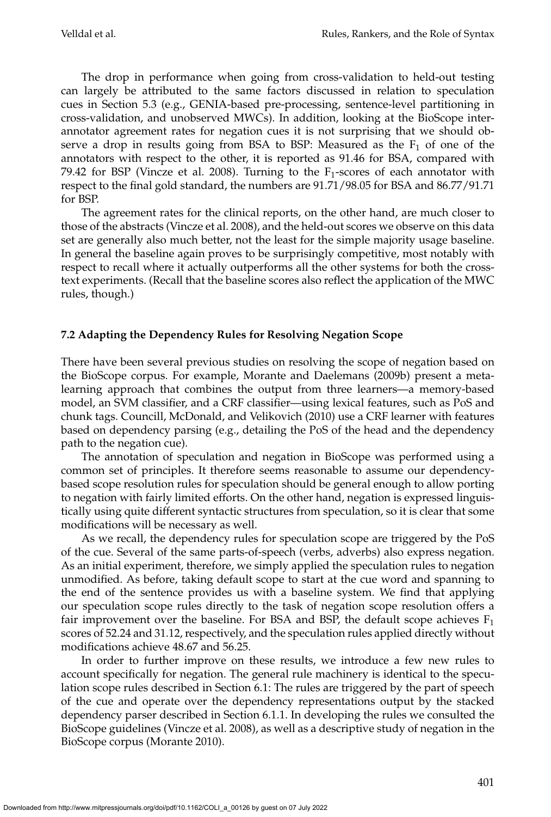The drop in performance when going from cross-validation to held-out testing can largely be attributed to the same factors discussed in relation to speculation cues in Section 5.3 (e.g., GENIA-based pre-processing, sentence-level partitioning in cross-validation, and unobserved MWCs). In addition, looking at the BioScope interannotator agreement rates for negation cues it is not surprising that we should observe a drop in results going from BSA to BSP: Measured as the  $F_1$  of one of the annotators with respect to the other, it is reported as 91.46 for BSA, compared with 79.42 for BSP (Vincze et al. 2008). Turning to the  $F_1$ -scores of each annotator with respect to the final gold standard, the numbers are 91.71/98.05 for BSA and 86.77/91.71 for BSP.

The agreement rates for the clinical reports, on the other hand, are much closer to those of the abstracts (Vincze et al. 2008), and the held-out scores we observe on this data set are generally also much better, not the least for the simple majority usage baseline. In general the baseline again proves to be surprisingly competitive, most notably with respect to recall where it actually outperforms all the other systems for both the crosstext experiments. (Recall that the baseline scores also reflect the application of the MWC rules, though.)

# **7.2 Adapting the Dependency Rules for Resolving Negation Scope**

There have been several previous studies on resolving the scope of negation based on the BioScope corpus. For example, Morante and Daelemans (2009b) present a metalearning approach that combines the output from three learners—a memory-based model, an SVM classifier, and a CRF classifier—using lexical features, such as PoS and chunk tags. Councill, McDonald, and Velikovich (2010) use a CRF learner with features based on dependency parsing (e.g., detailing the PoS of the head and the dependency path to the negation cue).

The annotation of speculation and negation in BioScope was performed using a common set of principles. It therefore seems reasonable to assume our dependencybased scope resolution rules for speculation should be general enough to allow porting to negation with fairly limited efforts. On the other hand, negation is expressed linguistically using quite different syntactic structures from speculation, so it is clear that some modifications will be necessary as well.

As we recall, the dependency rules for speculation scope are triggered by the PoS of the cue. Several of the same parts-of-speech (verbs, adverbs) also express negation. As an initial experiment, therefore, we simply applied the speculation rules to negation unmodified. As before, taking default scope to start at the cue word and spanning to the end of the sentence provides us with a baseline system. We find that applying our speculation scope rules directly to the task of negation scope resolution offers a fair improvement over the baseline. For BSA and BSP, the default scope achieves  $F_1$ scores of 52.24 and 31.12, respectively, and the speculation rules applied directly without modifications achieve 48.67 and 56.25.

In order to further improve on these results, we introduce a few new rules to account specifically for negation. The general rule machinery is identical to the speculation scope rules described in Section 6.1: The rules are triggered by the part of speech of the cue and operate over the dependency representations output by the stacked dependency parser described in Section 6.1.1. In developing the rules we consulted the BioScope guidelines (Vincze et al. 2008), as well as a descriptive study of negation in the BioScope corpus (Morante 2010).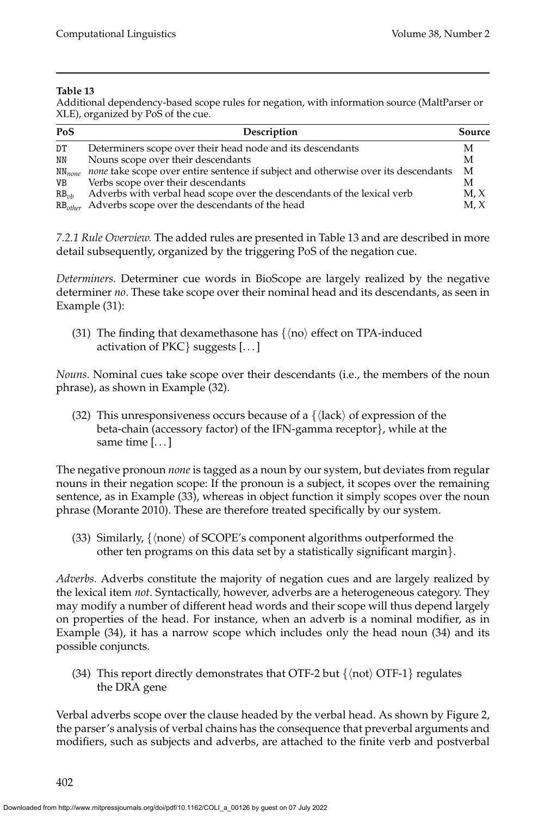### **Table 13**

Additional dependency-based scope rules for negation, with information source (MaltParser or XLE), organized by PoS of the cue.

| PoS         | Description                                                                        | Source |
|-------------|------------------------------------------------------------------------------------|--------|
| DT          | Determiners scope over their head node and its descendants                         | M      |
| NN          | Nouns scope over their descendants                                                 | М      |
| $NN_{none}$ | none take scope over entire sentence if subject and otherwise over its descendants | M      |
| VB          | Verbs scope over their descendants                                                 | M      |
| $RB_{7h}$   | Adverbs with verbal head scope over the descendants of the lexical verb            | M, X   |
|             | $RB_{other}$ Adverbs scope over the descendants of the head                        | M, X   |

*7.2.1 Rule Overview.* The added rules are presented in Table 13 and are described in more detail subsequently, organized by the triggering PoS of the negation cue.

*Determiners.* Determiner cue words in BioScope are largely realized by the negative determiner *no*. These take scope over their nominal head and its descendants, as seen in Example (31):

(31) The finding that dexamethasone has  $\{\langle no \rangle\}$  effect on TPA-induced activation of PKC} suggests [. . . ]

*Nouns.* Nominal cues take scope over their descendants (i.e., the members of the noun phrase), as shown in Example (32).

(32) This unresponsiveness occurs because of a  $\{\langle \text{lack} \rangle \}$  of expression of the beta-chain (accessory factor) of the IFN-gamma receptor}, while at the same time [. . . ]

The negative pronoun *none* is tagged as a noun by our system, but deviates from regular nouns in their negation scope: If the pronoun is a subject, it scopes over the remaining sentence, as in Example (33), whereas in object function it simply scopes over the noun phrase (Morante 2010). These are therefore treated specifically by our system.

(33) Similarly,  $\{\langle none \rangle\}$  of SCOPE's component algorithms outperformed the other ten programs on this data set by a statistically significant margin}.

*Adverbs.* Adverbs constitute the majority of negation cues and are largely realized by the lexical item *not*. Syntactically, however, adverbs are a heterogeneous category. They may modify a number of different head words and their scope will thus depend largely on properties of the head. For instance, when an adverbis a nominal modifier, as in Example (34), it has a narrow scope which includes only the head noun (34) and its possible conjuncts.

(34) This report directly demonstrates that OTF-2 but  $\{\langle not\rangle$  OTF-1 $\}$  regulates the DRA gene

Verbal adverbs scope over the clause headed by the verbal head. As shown by Figure 2, the parser's analysis of verbal chains has the consequence that preverbal arguments and modifiers, such as subjects and adverbs, are attached to the finite verb and postverbal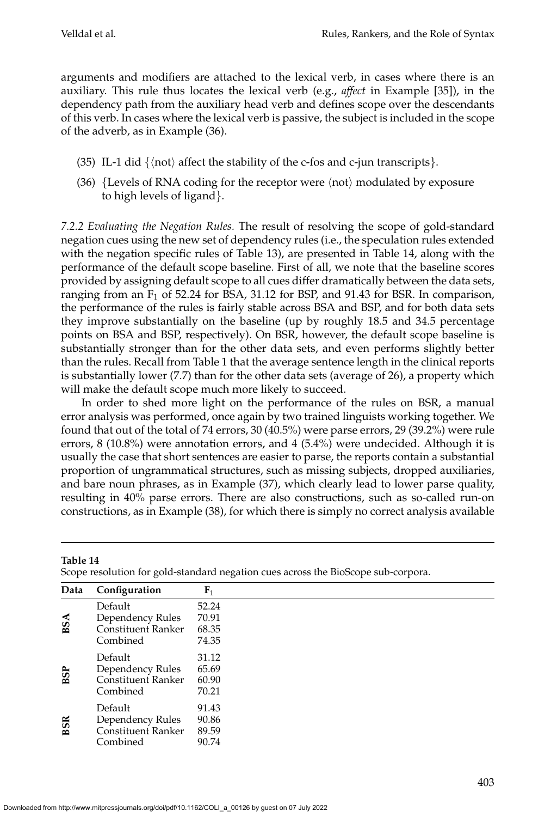**Table 14**

arguments and modifiers are attached to the lexical verb, in cases where there is an auxiliary. This rule thus locates the lexical verb(e.g., *affect* in Example [35]), in the dependency path from the auxiliary head verband defines scope over the descendants of this verb. In cases where the lexical verb is passive, the subject is included in the scope of the adverb, as in Example (36).

- (35) IL-1 did  $\{\langle not\rangle\}$  affect the stability of the c-fos and c-jun transcripts.
- (36) {Levels of RNA coding for the receptor were  $\langle \text{not} \rangle$  modulated by exposure to high levels of ligand}.

*7.2.2 Evaluating the Negation Rules.* The result of resolving the scope of gold-standard negation cues using the new set of dependency rules (i.e., the speculation rules extended with the negation specific rules of Table 13), are presented in Table 14, along with the performance of the default scope baseline. First of all, we note that the baseline scores provided by assigning default scope to all cues differ dramatically between the data sets, ranging from an  $F_1$  of 52.24 for BSA, 31.12 for BSP, and 91.43 for BSR. In comparison, the performance of the rules is fairly stable across BSA and BSP, and for both data sets they improve substantially on the baseline (up by roughly 18.5 and 34.5 percentage points on BSA and BSP, respectively). On BSR, however, the default scope baseline is substantially stronger than for the other data sets, and even performs slightly better than the rules. Recall from Table 1 that the average sentence length in the clinical reports is substantially lower (7.7) than for the other data sets (average of 26), a property which will make the default scope much more likely to succeed.

In order to shed more light on the performance of the rules on BSR, a manual error analysis was performed, once again by two trained linguists working together. We found that out of the total of 74 errors, 30 (40.5%) were parse errors, 29 (39.2%) were rule errors, 8 (10.8%) were annotation errors, and 4 (5.4%) were undecided. Although it is usually the case that short sentences are easier to parse, the reports contain a substantial proportion of ungrammatical structures, such as missing subjects, dropped auxiliaries, and bare noun phrases, as in Example (37), which clearly lead to lower parse quality, resulting in 40% parse errors. There are also constructions, such as so-called run-on constructions, as in Example (38), for which there is simply no correct analysis available

| ocope resolution for gold standard negation caes across the bioscope sub-corporal |                    |             |  |  |  |  |  |
|-----------------------------------------------------------------------------------|--------------------|-------------|--|--|--|--|--|
| Data                                                                              | Configuration      | ${\bf F}_1$ |  |  |  |  |  |
|                                                                                   | Default            | 52.24       |  |  |  |  |  |
|                                                                                   | Dependency Rules   | 70.91       |  |  |  |  |  |
| BSA                                                                               | Constituent Ranker | 68.35       |  |  |  |  |  |
|                                                                                   | Combined           | 74.35       |  |  |  |  |  |
| BSP                                                                               | Default            | 31.12       |  |  |  |  |  |
|                                                                                   | Dependency Rules   | 65.69       |  |  |  |  |  |
|                                                                                   | Constituent Ranker | 60.90       |  |  |  |  |  |
|                                                                                   | Combined           | 70.21       |  |  |  |  |  |
| <b>BSR</b>                                                                        | Default            | 91.43       |  |  |  |  |  |
|                                                                                   | Dependency Rules   | 90.86       |  |  |  |  |  |
|                                                                                   | Constituent Ranker | 89.59       |  |  |  |  |  |
|                                                                                   | Combined           | 90.74       |  |  |  |  |  |

Scope resolution for gold-standard negation cues across the BioScope sub-corpora.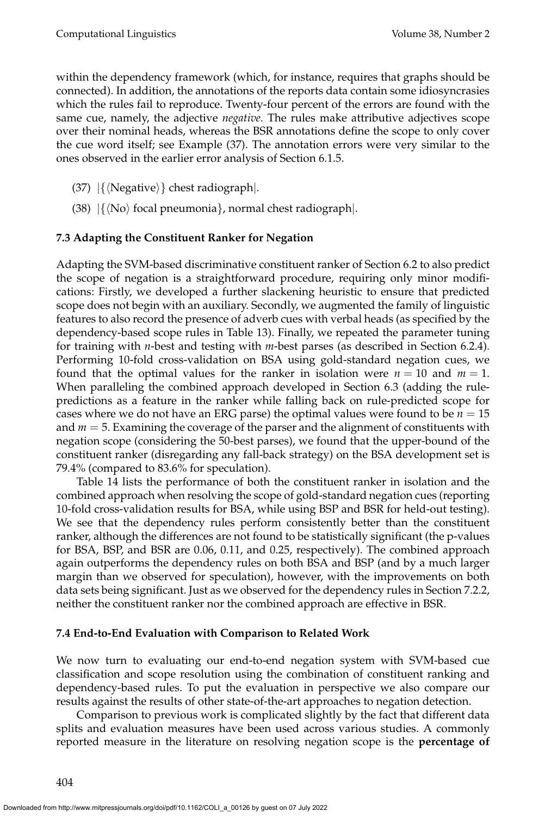within the dependency framework (which, for instance, requires that graphs should be connected). In addition, the annotations of the reports data contain some idiosyncrasies which the rules fail to reproduce. Twenty-four percent of the errors are found with the same cue, namely, the adjective *negative*. The rules make attributive adjectives scope over their nominal heads, whereas the BSR annotations define the scope to only cover the cue word itself; see Example (37). The annotation errors were very similar to the ones observed in the earlier error analysis of Section 6.1.5.

- $(37)$   $\{\langle Negative \rangle\}$  chest radiograph.
- (38)  $|\{\langle No \rangle\}$  focal pneumonia}, normal chest radiograph|.

# **7.3 Adapting the Constituent Ranker for Negation**

Adapting the SVM-based discriminative constituent ranker of Section 6.2 to also predict the scope of negation is a straightforward procedure, requiring only minor modifications: Firstly, we developed a further slackening heuristic to ensure that predicted scope does not begin with an auxiliary. Secondly, we augmented the family of linguistic features to also record the presence of adverb cues with verbal heads (as specified by the dependency-based scope rules in Table 13). Finally, we repeated the parameter tuning for training with *n*-best and testing with *m*-best parses (as described in Section 6.2.4). Performing 10-fold cross-validation on BSA using gold-standard negation cues, we found that the optimal values for the ranker in isolation were  $n = 10$  and  $m = 1$ . When paralleling the combined approach developed in Section 6.3 (adding the rulepredictions as a feature in the ranker while falling back on rule-predicted scope for cases where we do not have an ERG parse) the optimal values were found to be  $n = 15$ and *m* = 5. Examining the coverage of the parser and the alignment of constituents with negation scope (considering the 50-best parses), we found that the upper-bound of the constituent ranker (disregarding any fall-back strategy) on the BSA development set is 79.4% (compared to 83.6% for speculation).

Table 14 lists the performance of both the constituent ranker in isolation and the combined approach when resolving the scope of gold-standard negation cues (reporting 10-fold cross-validation results for BSA, while using BSP and BSR for held-out testing). We see that the dependency rules perform consistently better than the constituent ranker, although the differences are not found to be statistically significant (the p-values for BSA, BSP, and BSR are 0.06, 0.11, and 0.25, respectively). The combined approach again outperforms the dependency rules on both BSA and BSP (and by a much larger margin than we observed for speculation), however, with the improvements on both data sets being significant. Just as we observed for the dependency rules in Section 7.2.2, neither the constituent ranker nor the combined approach are effective in BSR.

# **7.4 End-to-End Evaluation with Comparison to Related Work**

We now turn to evaluating our end-to-end negation system with SVM-based cue classification and scope resolution using the combination of constituent ranking and dependency-based rules. To put the evaluation in perspective we also compare our results against the results of other state-of-the-art approaches to negation detection.

Comparison to previous work is complicated slightly by the fact that different data splits and evaluation measures have been used across various studies. A commonly reported measure in the literature on resolving negation scope is the **percentage of**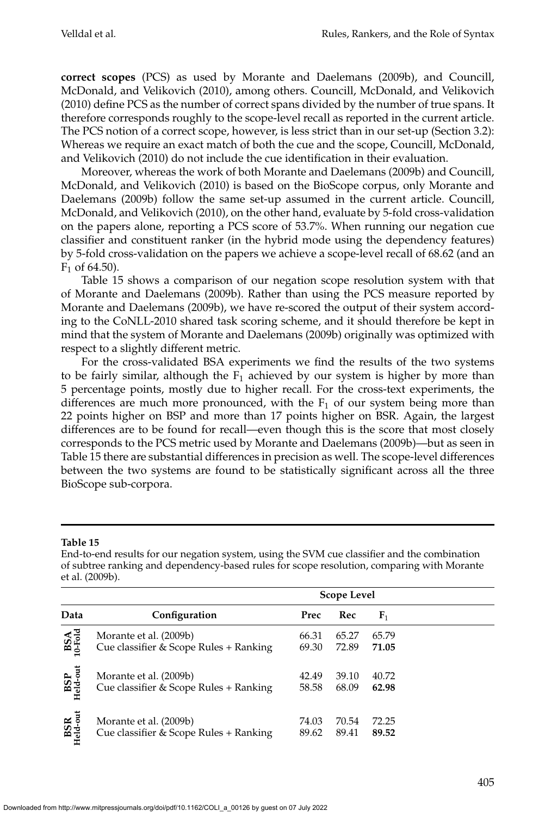**correct scopes** (PCS) as used by Morante and Daelemans (2009b), and Councill, McDonald, and Velikovich (2010), among others. Councill, McDonald, and Velikovich (2010) define PCS as the number of correct spans divided by the number of true spans. It therefore corresponds roughly to the scope-level recall as reported in the current article. The PCS notion of a correct scope, however, is less strict than in our set-up (Section 3.2): Whereas we require an exact match of both the cue and the scope, Councill, McDonald, and Velikovich (2010) do not include the cue identification in their evaluation.

Moreover, whereas the work of both Morante and Daelemans (2009b) and Councill, McDonald, and Velikovich (2010) is based on the BioScope corpus, only Morante and Daelemans (2009b) follow the same set-up assumed in the current article. Councill, McDonald, and Velikovich (2010), on the other hand, evaluate by 5-fold cross-validation on the papers alone, reporting a PCS score of 53.7%. When running our negation cue classifier and constituent ranker (in the hybrid mode using the dependency features) by 5-fold cross-validation on the papers we achieve a scope-level recall of 68.62 (and an  $F_1$  of 64.50).

Table 15 shows a comparison of our negation scope resolution system with that of Morante and Daelemans (2009b). Rather than using the PCS measure reported by Morante and Daelemans (2009b), we have re-scored the output of their system according to the CoNLL-2010 shared task scoring scheme, and it should therefore be kept in mind that the system of Morante and Daelemans (2009b) originally was optimized with respect to a slightly different metric.

For the cross-validated BSA experiments we find the results of the two systems to be fairly similar, although the  $F_1$  achieved by our system is higher by more than 5 percentage points, mostly due to higher recall. For the cross-text experiments, the differences are much more pronounced, with the  $F_1$  of our system being more than 22 points higher on BSP and more than 17 points higher on BSR. Again, the largest differences are to be found for recall—even though this is the score that most closely corresponds to the PCS metric used by Morante and Daelemans (2009b)—but as seen in Table 15 there are substantial differences in precision as well. The scope-level differences between the two systems are found to be statistically significant across all the three BioScope sub-corpora.

#### **Table 15**

End-to-end results for our negation system, using the SVM cue classifier and the combination of subtree ranking and dependency-based rules for scope resolution, comparing with Morante et al. (2009b).

|                 | <b>Scope Level</b>                       |       |       |             |
|-----------------|------------------------------------------|-------|-------|-------------|
| Data            | Configuration                            | Prec  | Rec   | ${\bf F}_1$ |
| ${}^{10}$ -Fold | Morante et al. (2009b)                   | 66.31 | 65.27 | 65.79       |
|                 | Cue classifier & Scope Rules + Ranking   | 69.30 | 72.89 | 71.05       |
| BSP<br>Held-out | Morante et al. (2009b)                   | 42.49 | 39.10 | 40.72       |
|                 | Cue classifier $&$ Scope Rules + Ranking | 58.58 | 68.09 | 62.98       |
| BSR<br>Held-out | Morante et al. (2009b)                   | 74.03 | 70.54 | 72.25       |
|                 | Cue classifier & Scope Rules + Ranking   | 89.62 | 89.41 | 89.52       |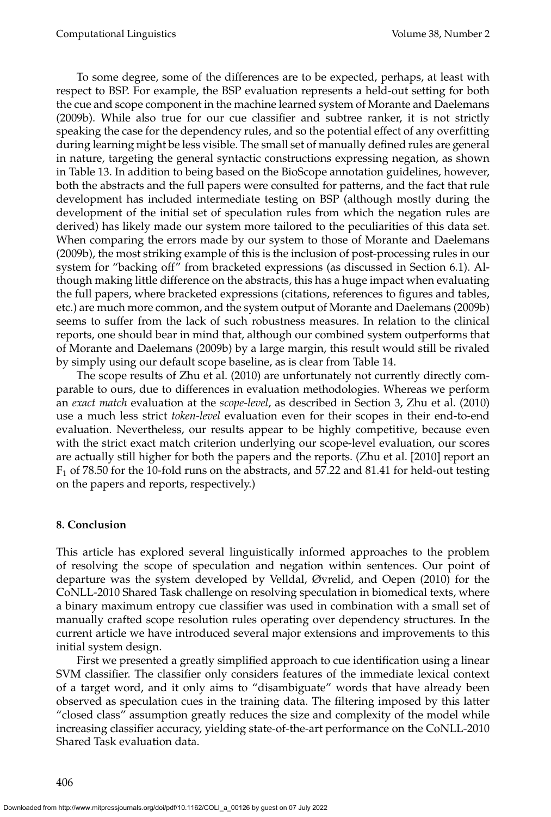To some degree, some of the differences are to be expected, perhaps, at least with respect to BSP. For example, the BSP evaluation represents a held-out setting for both the cue and scope component in the machine learned system of Morante and Daelemans (2009b). While also true for our cue classifier and subtree ranker, it is not strictly speaking the case for the dependency rules, and so the potential effect of any overfitting during learning might be less visible. The small set of manually defined rules are general in nature, targeting the general syntactic constructions expressing negation, as shown in Table 13. In addition to being based on the BioScope annotation guidelines, however, both the abstracts and the full papers were consulted for patterns, and the fact that rule development has included intermediate testing on BSP (although mostly during the development of the initial set of speculation rules from which the negation rules are derived) has likely made our system more tailored to the peculiarities of this data set. When comparing the errors made by our system to those of Morante and Daelemans (2009b), the most striking example of this is the inclusion of post-processing rules in our system for "backing off" from bracketed expressions (as discussed in Section 6.1). Although making little difference on the abstracts, this has a huge impact when evaluating the full papers, where bracketed expressions (citations, references to figures and tables, etc.) are much more common, and the system output of Morante and Daelemans (2009b) seems to suffer from the lack of such robustness measures. In relation to the clinical reports, one should bear in mind that, although our combined system outperforms that of Morante and Daelemans (2009b) by a large margin, this result would still be rivaled by simply using our default scope baseline, as is clear from Table 14.

The scope results of Zhu et al. (2010) are unfortunately not currently directly comparable to ours, due to differences in evaluation methodologies. Whereas we perform an *exact match* evaluation at the *scope-level*, as described in Section 3, Zhu et al. (2010) use a much less strict *token-level* evaluation even for their scopes in their end-to-end evaluation. Nevertheless, our results appear to be highly competitive, because even with the strict exact match criterion underlying our scope-level evaluation, our scores are actually still higher for both the papers and the reports. (Zhu et al. [2010] report an  $F_1$  of 78.50 for the 10-fold runs on the abstracts, and 57.22 and 81.41 for held-out testing on the papers and reports, respectively.)

### **8. Conclusion**

This article has explored several linguistically informed approaches to the problem of resolving the scope of speculation and negation within sentences. Our point of departure was the system developed by Velldal, Øvrelid, and Oepen (2010) for the CoNLL-2010 Shared Task challenge on resolving speculation in biomedical texts, where a binary maximum entropy cue classifier was used in combination with a small set of manually crafted scope resolution rules operating over dependency structures. In the current article we have introduced several major extensions and improvements to this initial system design.

First we presented a greatly simplified approach to cue identification using a linear SVM classifier. The classifier only considers features of the immediate lexical context of a target word, and it only aims to "disambiguate" words that have already been observed as speculation cues in the training data. The filtering imposed by this latter "closed class" assumption greatly reduces the size and complexity of the model while increasing classifier accuracy, yielding state-of-the-art performance on the CoNLL-2010 Shared Task evaluation data.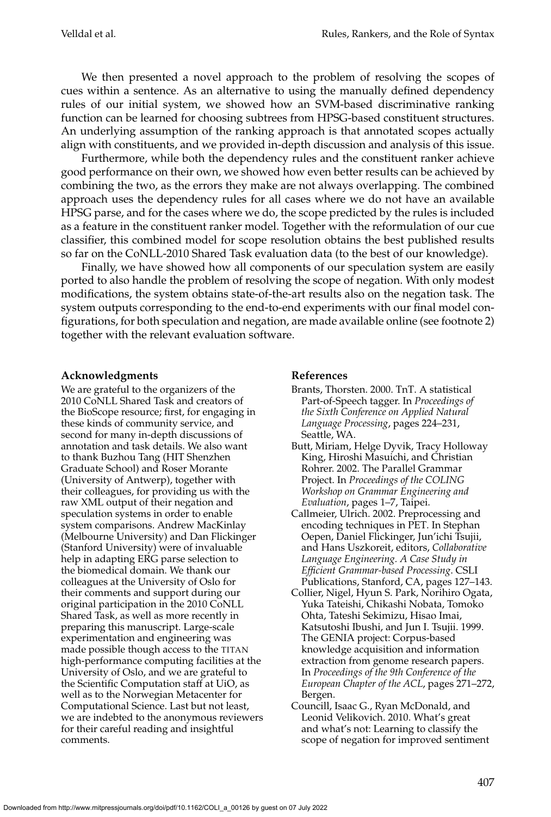We then presented a novel approach to the problem of resolving the scopes of cues within a sentence. As an alternative to using the manually defined dependency rules of our initial system, we showed how an SVM-based discriminative ranking function can be learned for choosing subtrees from HPSG-based constituent structures. An underlying assumption of the ranking approach is that annotated scopes actually align with constituents, and we provided in-depth discussion and analysis of this issue.

Furthermore, while both the dependency rules and the constituent ranker achieve good performance on their own, we showed how even better results can be achieved by combining the two, as the errors they make are not always overlapping. The combined approach uses the dependency rules for all cases where we do not have an available HPSG parse, and for the cases where we do, the scope predicted by the rules is included as a feature in the constituent ranker model. Together with the reformulation of our cue classifier, this combined model for scope resolution obtains the best published results so far on the CoNLL-2010 Shared Task evaluation data (to the best of our knowledge).

Finally, we have showed how all components of our speculation system are easily ported to also handle the problem of resolving the scope of negation. With only modest modifications, the system obtains state-of-the-art results also on the negation task. The system outputs corresponding to the end-to-end experiments with our final model configurations, for both speculation and negation, are made available online (see footnote 2) together with the relevant evaluation software.

### **Acknowledgments**

We are grateful to the organizers of the 2010 CoNLL Shared Task and creators of the BioScope resource; first, for engaging in these kinds of community service, and second for many in-depth discussions of annotation and task details. We also want to thank Buzhou Tang (HIT Shenzhen Graduate School) and Roser Morante (University of Antwerp), together with their colleagues, for providing us with the raw XML output of their negation and speculation systems in order to enable system comparisons. Andrew MacKinlay (Melbourne University) and Dan Flickinger (Stanford University) were of invaluable help in adapting ERG parse selection to the biomedical domain. We thank our colleagues at the University of Oslo for their comments and support during our original participation in the 2010 CoNLL Shared Task, as well as more recently in preparing this manuscript. Large-scale experimentation and engineering was made possible though access to the TITAN high-performance computing facilities at the University of Oslo, and we are grateful to the Scientific Computation staff at UiO, as well as to the Norwegian Metacenter for Computational Science. Last but not least, we are indebted to the anonymous reviewers for their careful reading and insightful comments.

### **References**

- Brants, Thorsten. 2000. TnT. A statistical Part-of-Speech tagger. In *Proceedings of the Sixth Conference on Applied Natural Language Processing*, pages 224–231, Seattle, WA.
- Butt, Miriam, Helge Dyvik, Tracy Holloway King, Hiroshi Masuichi, and Christian Rohrer. 2002. The Parallel Grammar Project. In *Proceedings of the COLING Workshop on Grammar Engineering and Evaluation*, pages 1–7, Taipei.
- Callmeier, Ulrich. 2002. Preprocessing and encoding techniques in PET. In Stephan Oepen, Daniel Flickinger, Jun'ichi Tsujii, and Hans Uszkoreit, editors, *Collaborative Language Engineering. A Case Study in Efficient Grammar-based Processing*. CSLI Publications, Stanford, CA, pages 127–143.
- Collier, Nigel, Hyun S. Park, Norihiro Ogata, Yuka Tateishi, Chikashi Nobata, Tomoko Ohta, Tateshi Sekimizu, Hisao Imai, Katsutoshi Ibushi, and Jun I. Tsujii. 1999. The GENIA project: Corpus-based knowledge acquisition and information extraction from genome research papers. In *Proceedings of the 9th Conference of the European Chapter of the ACL*, pages 271–272, Bergen.
- Councill, Isaac G., Ryan McDonald, and Leonid Velikovich. 2010. What's great and what's not: Learning to classify the scope of negation for improved sentiment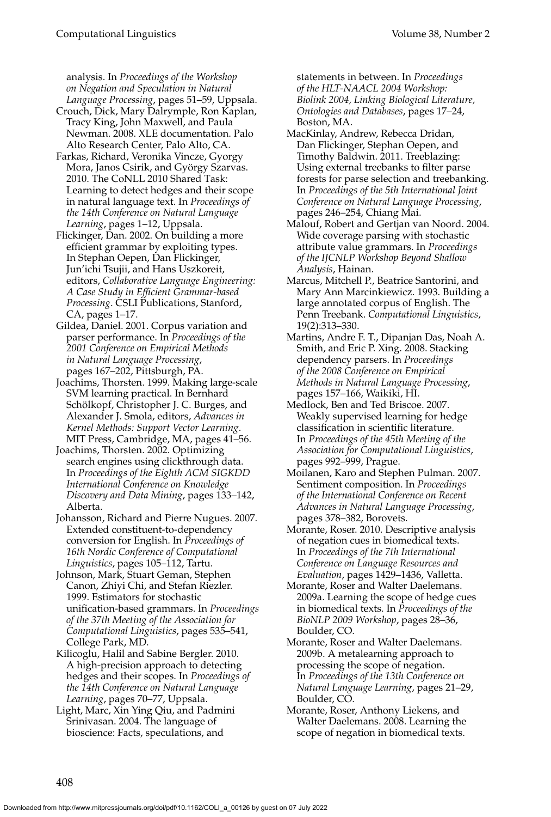analysis. In *Proceedings of the Workshop on Negation and Speculation in Natural Language Processing*, pages 51–59, Uppsala.

- Crouch, Dick, Mary Dalrymple, Ron Kaplan, Tracy King, John Maxwell, and Paula Newman. 2008. XLE documentation. Palo Alto Research Center, Palo Alto, CA.
- Farkas, Richard, Veronika Vincze, Gyorgy Mora, Janos Csirik, and György Szarvas. 2010. The CoNLL 2010 Shared Task: Learning to detect hedges and their scope in natural language text. In *Proceedings of the 14th Conference on Natural Language Learning*, pages 1–12, Uppsala.
- Flickinger, Dan. 2002. On building a more efficient grammar by exploiting types. In Stephan Oepen, Dan Flickinger, Jun'ichi Tsujii, and Hans Uszkoreit, editors, *Collaborative Language Engineering: A Case Study in Efficient Grammar-based Processing*. CSLI Publications, Stanford, CA, pages 1–17.
- Gildea, Daniel. 2001. Corpus variation and parser performance. In *Proceedings of the 2001 Conference on Empirical Methods in Natural Language Processing*, pages 167–202, Pittsburgh, PA.
- Joachims, Thorsten. 1999. Making large-scale SVM learning practical. In Bernhard Schölkopf, Christopher J. C. Burges, and Alexander J. Smola, editors, *Advances in Kernel Methods: Support Vector Learning*. MIT Press, Cambridge, MA, pages 41–56.
- Joachims, Thorsten. 2002. Optimizing search engines using clickthrough data. In *Proceedings of the Eighth ACM SIGKDD International Conference on Knowledge Discovery and Data Mining*, pages 133–142, Alberta.
- Johansson, Richard and Pierre Nugues. 2007. Extended constituent-to-dependency conversion for English. In *Proceedings of 16th Nordic Conference of Computational Linguistics*, pages 105–112, Tartu.
- Johnson, Mark, Stuart Geman, Stephen Canon, Zhiyi Chi, and Stefan Riezler. 1999. Estimators for stochastic unification-based grammars. In *Proceedings of the 37th Meeting of the Association for Computational Linguistics*, pages 535–541, College Park, MD.
- Kilicoglu, Halil and Sabine Bergler. 2010. A high-precision approach to detecting hedges and their scopes. In *Proceedings of the 14th Conference on Natural Language Learning*, pages 70–77, Uppsala.
- Light, Marc, Xin Ying Qiu, and Padmini Srinivasan. 2004. The language of bioscience: Facts, speculations, and

statements in between. In *Proceedings of the HLT-NAACL 2004 Workshop: Biolink 2004, Linking Biological Literature, Ontologies and Databases*, pages 17–24, Boston, MA.

- MacKinlay, Andrew, Rebecca Dridan, Dan Flickinger, Stephan Oepen, and Timothy Baldwin. 2011. Treeblazing: Using external treebanks to filter parse forests for parse selection and treebanking. In *Proceedings of the 5th International Joint Conference on Natural Language Processing*, pages 246–254, Chiang Mai.
- Malouf, Robert and Gertjan van Noord. 2004. Wide coverage parsing with stochastic attribute value grammars. In *Proceedings of the IJCNLP Workshop Beyond Shallow Analysis*, Hainan.
- Marcus, Mitchell P., Beatrice Santorini, and Mary Ann Marcinkiewicz. 1993. Building a large annotated corpus of English. The Penn Treebank. *Computational Linguistics*, 19(2):313–330.
- Martins, Andre F. T., Dipanjan Das, Noah A. Smith, and Eric P. Xing. 2008. Stacking dependency parsers. In *Proceedings of the 2008 Conference on Empirical Methods in Natural Language Processing*, pages 157–166, Waikiki, HI.
- Medlock, Ben and Ted Briscoe. 2007. Weakly supervised learning for hedge classification in scientific literature. In *Proceedings of the 45th Meeting of the Association for Computational Linguistics*, pages 992–999, Prague.
- Moilanen, Karo and Stephen Pulman. 2007. Sentiment composition. In *Proceedings of the International Conference on Recent Advances in Natural Language Processing*, pages 378–382, Borovets.
- Morante, Roser. 2010. Descriptive analysis of negation cues in biomedical texts. In *Proceedings of the 7th International Conference on Language Resources and Evaluation*, pages 1429–1436, Valletta.
- Morante, Roser and Walter Daelemans. 2009a. Learning the scope of hedge cues in biomedical texts. In *Proceedings of the BioNLP 2009 Workshop*, pages 28–36, Boulder, CO.
- Morante, Roser and Walter Daelemans. 2009b. A metalearning approach to processing the scope of negation. In *Proceedings of the 13th Conference on Natural Language Learning*, pages 21–29, Boulder, CO.
- Morante, Roser, Anthony Liekens, and Walter Daelemans. 2008. Learning the scope of negation in biomedical texts.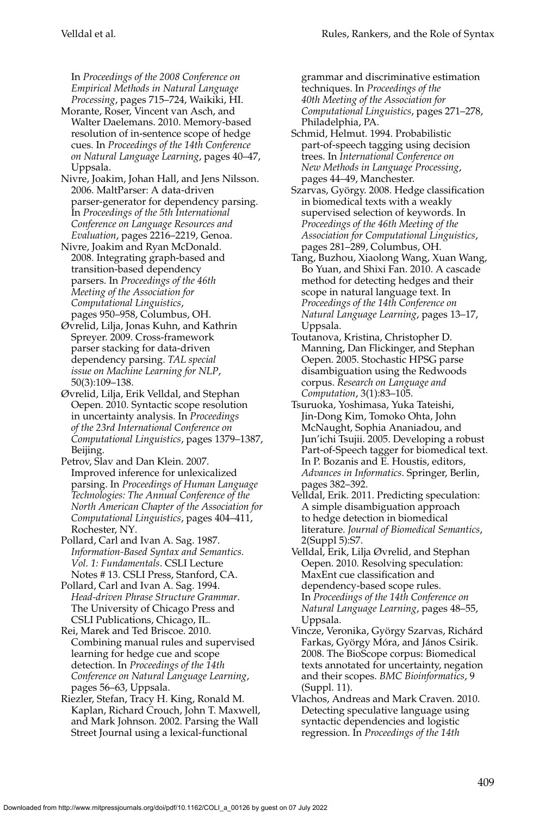In *Proceedings of the 2008 Conference on Empirical Methods in Natural Language Processing*, pages 715–724, Waikiki, HI.

- Morante, Roser, Vincent van Asch, and Walter Daelemans. 2010. Memory-based resolution of in-sentence scope of hedge cues. In *Proceedings of the 14th Conference on Natural Language Learning*, pages 40–47, Uppsala.
- Nivre, Joakim, Johan Hall, and Jens Nilsson. 2006. MaltParser: A data-driven parser-generator for dependency parsing. In *Proceedings of the 5th International Conference on Language Resources and Evaluation*, pages 2216–2219, Genoa.
- Nivre, Joakim and Ryan McDonald. 2008. Integrating graph-based and transition-based dependency parsers. In *Proceedings of the 46th Meeting of the Association for Computational Linguistics*, pages 950–958, Columbus, OH.
- Øvrelid, Lilja, Jonas Kuhn, and Kathrin Spreyer. 2009. Cross-framework parser stacking for data-driven dependency parsing. *TAL special issue on Machine Learning for NLP*, 50(3):109–138.
- Øvrelid, Lilja, Erik Velldal, and Stephan Oepen. 2010. Syntactic scope resolution in uncertainty analysis. In *Proceedings of the 23rd International Conference on Computational Linguistics*, pages 1379–1387, Beijing.
- Petrov, Slav and Dan Klein. 2007. Improved inference for unlexicalized parsing. In *Proceedings of Human Language Technologies: The Annual Conference of the North American Chapter of the Association for Computational Linguistics*, pages 404–411, Rochester, NY.
- Pollard, Carl and Ivan A. Sag. 1987. *Information-Based Syntax and Semantics. Vol. 1: Fundamentals*. CSLI Lecture Notes # 13. CSLI Press, Stanford, CA.
- Pollard, Carl and Ivan A. Sag. 1994. *Head-driven Phrase Structure Grammar*. The University of Chicago Press and CSLI Publications, Chicago, IL.
- Rei, Marek and Ted Briscoe. 2010. Combining manual rules and supervised learning for hedge cue and scope detection. In *Proceedings of the 14th Conference on Natural Language Learning*, pages 56–63, Uppsala.
- Riezler, Stefan, Tracy H. King, Ronald M. Kaplan, Richard Crouch, John T. Maxwell, and Mark Johnson. 2002. Parsing the Wall Street Journal using a lexical-functional

grammar and discriminative estimation techniques. In *Proceedings of the 40th Meeting of the Association for Computational Linguistics*, pages 271–278, Philadelphia, PA.

- Schmid, Helmut. 1994. Probabilistic part-of-speech tagging using decision trees. In *International Conference on New Methods in Language Processing*, pages 44–49, Manchester.
- Szarvas, György. 2008. Hedge classification in biomedical texts with a weakly supervised selection of keywords. In *Proceedings of the 46th Meeting of the Association for Computational Linguistics*, pages 281–289, Columbus, OH.
- Tang, Buzhou, Xiaolong Wang, Xuan Wang, Bo Yuan, and Shixi Fan. 2010. A cascade method for detecting hedges and their scope in natural language text. In *Proceedings of the 14th Conference on Natural Language Learning*, pages 13–17, Uppsala.
- Toutanova, Kristina, Christopher D. Manning, Dan Flickinger, and Stephan Oepen. 2005. Stochastic HPSG parse disambiguation using the Redwoods corpus. *Research on Language and Computation*, 3(1):83–105.
- Tsuruoka, Yoshimasa, Yuka Tateishi, Jin-Dong Kim, Tomoko Ohta, John McNaught, Sophia Ananiadou, and Jun'ichi Tsujii. 2005. Developing a robust Part-of-Speech tagger for biomedical text. In P. Bozanis and E. Houstis, editors, *Advances in Informatics*. Springer, Berlin, pages 382–392.
- Velldal, Erik. 2011. Predicting speculation: A simple disambiguation approach to hedge detection in biomedical literature. *Journal of Biomedical Semantics*, 2(Suppl 5):S7.
- Velldal, Erik, Lilja Øvrelid, and Stephan Oepen. 2010. Resolving speculation: MaxEnt cue classification and dependency-based scope rules. In *Proceedings of the 14th Conference on Natural Language Learning*, pages 48–55, Uppsala.
- Vincze, Veronika, György Szarvas, Richárd Farkas, György Móra, and János Csirik. 2008. The BioScope corpus: Biomedical texts annotated for uncertainty, negation and their scopes. *BMC Bioinformatics*, 9 (Suppl. 11).
- Vlachos, Andreas and Mark Craven. 2010. Detecting speculative language using syntactic dependencies and logistic regression. In *Proceedings of the 14th*